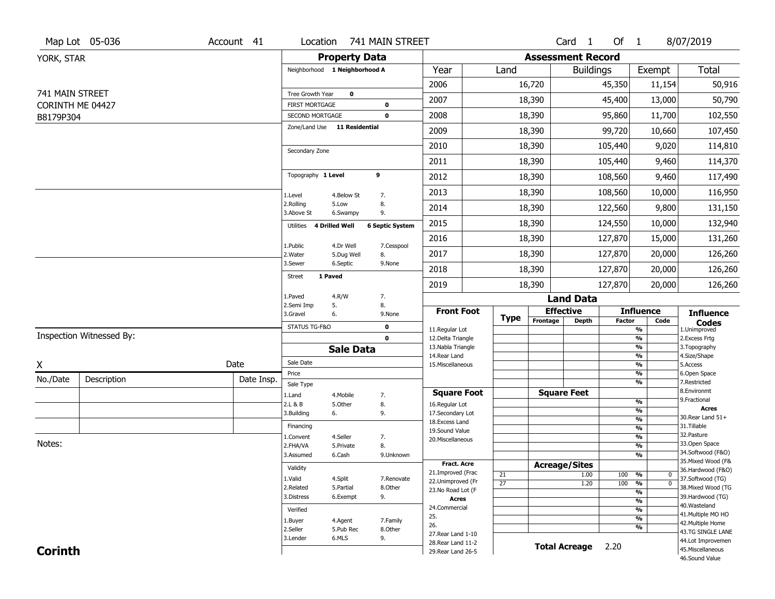|                               | Map Lot 05-036           | Account 41 |                                          |                        | Location 741 MAIN STREET |                                          |                 |                              | Card <sub>1</sub> | Of 1          |                                           | 8/07/2019                              |
|-------------------------------|--------------------------|------------|------------------------------------------|------------------------|--------------------------|------------------------------------------|-----------------|------------------------------|-------------------|---------------|-------------------------------------------|----------------------------------------|
| YORK, STAR                    |                          |            |                                          | <b>Property Data</b>   |                          |                                          |                 | <b>Assessment Record</b>     |                   |               |                                           |                                        |
|                               |                          |            | Neighborhood 1 Neighborhood A            |                        |                          | Year                                     | Land            |                              | <b>Buildings</b>  |               | Exempt                                    | Total                                  |
|                               |                          |            |                                          |                        |                          | 2006                                     |                 | 16,720                       |                   | 45,350        | 11,154                                    | 50,916                                 |
| 741 MAIN STREET               |                          |            | Tree Growth Year                         | $\mathbf 0$            |                          | 2007                                     |                 | 18,390                       |                   | 45,400        | 13,000                                    | 50,790                                 |
| CORINTH ME 04427<br>B8179P304 |                          |            | <b>FIRST MORTGAGE</b><br>SECOND MORTGAGE |                        | 0<br>$\mathbf 0$         | 2008                                     |                 | 18,390                       |                   | 95,860        | 11,700                                    | 102,550                                |
|                               |                          |            | Zone/Land Use                            | <b>11 Residential</b>  |                          | 2009                                     |                 | 18,390                       |                   | 99,720        | 10,660                                    | 107,450                                |
|                               |                          |            |                                          |                        |                          | 2010                                     |                 | 18,390                       |                   | 105,440       | 9,020                                     | 114,810                                |
|                               |                          |            | Secondary Zone                           |                        |                          | 2011                                     |                 | 18,390                       |                   | 105,440       | 9,460                                     | 114,370                                |
|                               |                          |            | Topography 1 Level                       |                        | 9                        | 2012                                     |                 | 18,390                       |                   | 108,560       | 9,460                                     | 117,490                                |
|                               |                          |            |                                          |                        |                          | 2013                                     |                 | 18,390                       |                   | 108,560       |                                           | 116,950                                |
|                               |                          |            | 1.Level<br>2.Rolling                     | 4.Below St<br>5.Low    | 7.<br>8.                 |                                          |                 |                              |                   |               | 10,000                                    |                                        |
|                               |                          |            | 3.Above St                               | 6.Swampy               | 9.                       | 2014                                     |                 | 18,390                       |                   | 122,560       | 9,800                                     | 131,150                                |
|                               |                          |            | Utilities                                | <b>4 Drilled Well</b>  | <b>6 Septic System</b>   | 2015                                     |                 | 18,390                       |                   | 124,550       | 10,000                                    | 132,940                                |
|                               |                          |            | 1.Public                                 | 4.Dr Well              | 7.Cesspool               | 2016                                     |                 | 18,390                       |                   | 127,870       | 15,000                                    | 131,260                                |
|                               |                          |            | 2. Water<br>3.Sewer                      | 5.Dug Well<br>6.Septic | 8.<br>9.None             | 2017                                     |                 | 18,390                       |                   | 127,870       | 20,000                                    | 126,260                                |
|                               |                          |            | 1 Paved<br><b>Street</b>                 |                        |                          | 2018                                     |                 | 18,390                       |                   | 127,870       | 20,000                                    | 126,260                                |
|                               |                          |            | 1.Paved                                  |                        |                          | 2019                                     |                 | 18,390                       |                   | 127,870       | 20,000                                    | 126,260                                |
|                               |                          |            | 2.Semi Imp                               | 4.R/W<br>5.            | 7.<br>8.                 |                                          |                 |                              | <b>Land Data</b>  |               |                                           |                                        |
|                               |                          |            | 3.Gravel                                 | 6.                     | 9.None                   | <b>Front Foot</b>                        | <b>Type</b>     | <b>Effective</b><br>Frontage | <b>Depth</b>      | <b>Factor</b> | <b>Influence</b><br>Code                  | <b>Influence</b><br><b>Codes</b>       |
|                               | Inspection Witnessed By: |            | STATUS TG-F&O                            |                        | 0                        | 11.Regular Lot                           |                 |                              |                   |               | %                                         | 1.Unimproved                           |
|                               |                          |            |                                          | <b>Sale Data</b>       | $\mathbf{0}$             | 12.Delta Triangle<br>13. Nabla Triangle  |                 |                              |                   |               | %<br>%                                    | 2. Excess Frtg<br>3. Topography        |
|                               |                          |            | Sale Date                                |                        |                          | 14. Rear Land                            |                 |                              |                   |               | %                                         | 4.Size/Shape                           |
| X                             |                          | Date       | Price                                    |                        |                          | 15. Miscellaneous                        |                 |                              |                   |               | %<br>%                                    | 5.Access<br>6.Open Space               |
| No./Date                      | Description              | Date Insp. | Sale Type                                |                        |                          |                                          |                 |                              |                   |               | %                                         | 7.Restricted                           |
|                               |                          |            | 1.Land                                   | 4. Mobile              | 7.                       | <b>Square Foot</b>                       |                 | <b>Square Feet</b>           |                   |               | %                                         | 8.Environmt<br>9. Fractional           |
|                               |                          |            | 2.L & B<br>3.Building                    | 5.Other<br>6.          | 8.<br>9.                 | 16.Regular Lot<br>17.Secondary Lot       |                 |                              |                   |               | $\overline{\frac{9}{6}}$                  | <b>Acres</b>                           |
|                               |                          |            |                                          |                        |                          | 18.Excess Land                           |                 |                              |                   |               | $\frac{9}{6}$                             | 30. Rear Land 51+                      |
|                               |                          |            | Financing                                |                        |                          | 19.Sound Value                           |                 |                              |                   |               | $\frac{9}{6}$                             | 31.Tillable<br>32. Pasture             |
| Notes:                        |                          |            | 1.Convent<br>2.FHA/VA                    | 4.Seller<br>5.Private  | 7.<br>8.                 | 20.Miscellaneous                         |                 |                              |                   |               | $\overline{\frac{9}{6}}$<br>$\frac{9}{6}$ | 33.Open Space                          |
|                               |                          |            | 3.Assumed                                | 6.Cash                 | 9.Unknown                |                                          |                 |                              |                   |               | $\overline{\frac{9}{6}}$                  | 34.Softwood (F&O)                      |
|                               |                          |            | Validity                                 |                        |                          | <b>Fract. Acre</b>                       |                 | <b>Acreage/Sites</b>         |                   |               |                                           | 35. Mixed Wood (F&                     |
|                               |                          |            | 1.Valid                                  | 4.Split                | 7.Renovate               | 21.Improved (Frac                        | 21              |                              | 1.00              | 100           | %<br>$\bf{0}$                             | 36.Hardwood (F&O)                      |
|                               |                          |            | 2.Related                                | 5.Partial              | 8.Other                  | 22.Unimproved (Fr                        | $\overline{27}$ |                              | 1.20              | 100           | $\overline{0}$<br>%                       | 37.Softwood (TG)<br>38. Mixed Wood (TG |
|                               |                          |            | 3.Distress                               | 6.Exempt               | 9.                       | 23.No Road Lot (F<br><b>Acres</b>        |                 |                              |                   |               | %                                         | 39.Hardwood (TG)                       |
|                               |                          |            | Verified                                 |                        |                          | 24.Commercial                            |                 |                              |                   |               | %<br>%                                    | 40. Wasteland                          |
|                               |                          |            | 1.Buyer                                  | 4.Agent                | 7.Family                 | 25.                                      |                 |                              |                   |               | %                                         | 41. Multiple MO HO                     |
|                               |                          |            | 2.Seller                                 | 5.Pub Rec              | 8.Other                  | 26.                                      |                 |                              |                   |               | %                                         | 42. Multiple Home<br>43.TG SINGLE LANE |
|                               |                          |            | 3.Lender                                 | 6.MLS                  | 9.                       | 27. Rear Land 1-10<br>28. Rear Land 11-2 |                 |                              |                   |               |                                           | 44.Lot Improvemen                      |
|                               |                          |            |                                          |                        |                          |                                          |                 |                              |                   |               |                                           |                                        |
| <b>Corinth</b>                |                          |            |                                          |                        |                          | 29. Rear Land 26-5                       |                 | <b>Total Acreage</b>         |                   | 2.20          |                                           | 45. Miscellaneous                      |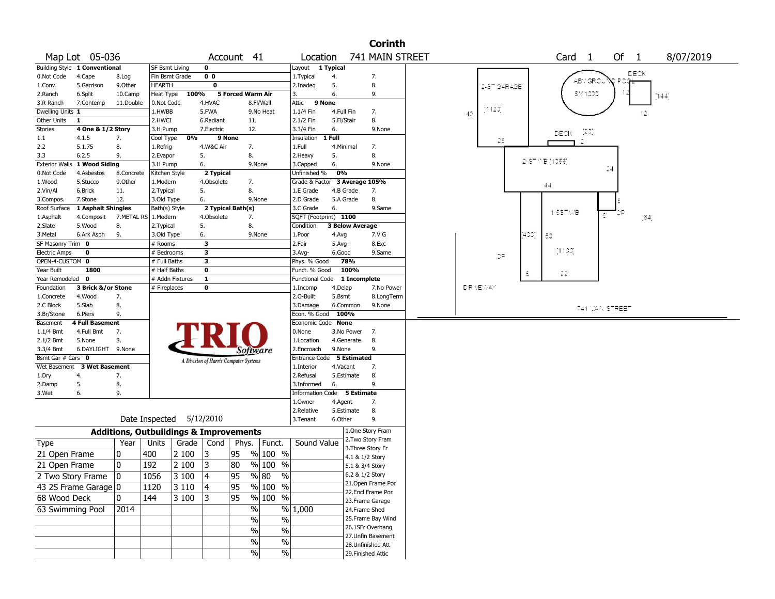|                       |                               |            |                                                   |                                       |                   |                                                   |                             |                        | <b>Corinth</b>                           |              |     |                |                   |    |                |                    |      |           |  |
|-----------------------|-------------------------------|------------|---------------------------------------------------|---------------------------------------|-------------------|---------------------------------------------------|-----------------------------|------------------------|------------------------------------------|--------------|-----|----------------|-------------------|----|----------------|--------------------|------|-----------|--|
|                       | Map Lot 05-036                |            |                                                   |                                       | Account 41        |                                                   | Location                    |                        | 741 MAIN STREET                          |              |     |                | Card <sub>1</sub> |    | Of 1           |                    |      | 8/07/2019 |  |
|                       | Building Style 1 Conventional |            | <b>SF Bsmt Living</b>                             | 0                                     |                   |                                                   | Layout                      | 1 Typical              |                                          |              |     |                |                   |    |                |                    |      |           |  |
| 0.Not Code            | 4.Cape                        | 8.Log      | Fin Bsmt Grade                                    | 0 <sub>0</sub>                        |                   |                                                   | 1. Typical                  | 4.                     | 7.                                       |              |     |                | ABY OR:           |    |                | DECK               |      |           |  |
| 1.Conv.               | 5.Garrison                    | 9.0ther    | <b>HEARTH</b>                                     | 0                                     |                   |                                                   | 2.Inadeq                    | 5.                     | 8.                                       | 2-ST GARAGE  |     |                |                   |    |                |                    |      |           |  |
| 2.Ranch               | 6.Split                       | 10.Camp    | Heat Type 100%                                    |                                       | 5 Forced Warm Air |                                                   | 3.                          | 6.                     | 9.                                       |              |     |                | SV 1000           |    |                |                    | 144' |           |  |
| 3.R Ranch             | 7.Contemp                     | 11.Double  | 0.Not Code                                        | 4.HVAC                                |                   | 8.Fl/Wall                                         | 9 None<br>Attic             |                        |                                          |              |     |                |                   |    |                |                    |      |           |  |
| Dwelling Units 1      |                               |            | 1.HWBB                                            | 5.FWA                                 |                   | 9.No Heat                                         | 1.1/4 Fin                   | 4.Full Fin             | 7.                                       | -1120]<br>40 |     |                |                   |    |                | 12                 |      |           |  |
| Other Units           | -1                            |            | 2.HWCI                                            | 6.Radiant                             |                   | 11.                                               | 2.1/2 Fin                   | 5.Fl/Stair             | 8.                                       |              |     |                |                   |    |                |                    |      |           |  |
| Stories               | 4 One & 1/2 Story             |            | 3.H Pump                                          | 7.Electric                            |                   | 12.                                               | 3.3/4 Fin                   | 6.                     | 9.None                                   |              |     |                | - (20)<br>DECK.   |    |                |                    |      |           |  |
| $1.1\,$               | 4.1.5                         | 7.         | 0%<br>Cool Type                                   |                                       | 9 None            |                                                   | Insulation 1 Full           |                        |                                          | 28           |     |                |                   |    |                |                    |      |           |  |
| 2.2                   | 5.1.75                        | 8.         | 1.Refrig                                          | 4.W&C Air                             | 7.                |                                                   | 1.Full                      | 4.Minimal              | 7.                                       |              |     |                |                   |    |                |                    |      |           |  |
| 3.3                   | 6.2.5                         | 9.         | 2.Evapor                                          | 5.                                    | 8.                |                                                   | 2.Heavy                     | 5.                     | 8.                                       |              |     |                |                   |    |                |                    |      |           |  |
| <b>Exterior Walls</b> | 1 Wood Siding                 |            | 3.H Pump                                          | 6.                                    |                   | 9.None                                            | 3.Capped                    | 6.                     | 9.None                                   |              |     | 2-ST MB (1056) |                   | 24 |                |                    |      |           |  |
| 0.Not Code            | 4.Asbestos                    | 8.Concrete | Kitchen Style                                     | 2 Typical                             |                   |                                                   | Unfinished %                | 0%                     |                                          |              |     |                |                   |    |                |                    |      |           |  |
| 1.Wood                | 5.Stucco                      | 9.Other    | 1.Modern                                          | 4.Obsolete                            | 7.                |                                                   |                             |                        | Grade & Factor 3 Average 105%            |              |     | 44             |                   |    |                |                    |      |           |  |
| 2.Vin/Al              | 6.Brick                       | 11.        | 2. Typical                                        | 5.                                    | 8.                |                                                   | 1.E Grade                   | 4.B Grade              | 7.                                       |              |     |                |                   |    |                |                    |      |           |  |
| 3.Compos.             | 7.Stone                       | 12.        | 3.Old Type                                        | 6.                                    |                   | 9.None                                            | 2.D Grade                   | 5.A Grade              | 8.                                       |              |     |                |                   |    |                |                    |      |           |  |
| Roof Surface          | 1 Asphalt Shingles            |            | Bath(s) Style                                     |                                       | 2 Typical Bath(s) |                                                   | 3.C Grade                   | 6.                     | 9.Same                                   |              |     |                | $1.557\%B$        |    |                |                    |      |           |  |
| 1.Asphalt             | 4.Composit                    | 7.METAL RS | 1.Modern                                          | 4.Obsolete                            | 7.                |                                                   | SQFT (Footprint) 1100       |                        |                                          |              |     |                |                   | ε  |                | $\lceil 64 \rceil$ |      |           |  |
| 2.Slate               | 5.Wood                        | 8.         | 2. Typical                                        | 5.                                    | 8.                |                                                   | Condition                   | <b>3 Below Average</b> |                                          |              |     |                |                   |    |                |                    |      |           |  |
| 3.Metal               | 6.Ark Asph                    | 9.         | 3.Old Type                                        | 6.                                    |                   | 9.None                                            | 1.Poor                      | 4.Avg                  | 7.V G                                    |              | 400 | l 50           |                   |    |                |                    |      |           |  |
| SF Masonry Trim 0     |                               |            | # Rooms                                           | 3                                     |                   |                                                   | 2.Fair                      | $5.Avg+$               | 8.Exc                                    |              |     |                |                   |    |                |                    |      |           |  |
| <b>Electric Amps</b>  | $\mathbf 0$                   |            | # Bedrooms                                        | $\overline{\mathbf{3}}$               |                   |                                                   | 3.Avg-                      | 6.Good                 | 9.Same                                   | <b>OP</b>    |     |                | [1133]            |    |                |                    |      |           |  |
| OPEN-4-CUSTOM 0       |                               |            | # Full Baths                                      | $\overline{\mathbf{3}}$               |                   |                                                   | Phys. % Good                | 78%                    |                                          |              |     |                |                   |    |                |                    |      |           |  |
| Year Built            | 1800                          |            | # Half Baths                                      | $\mathbf 0$                           |                   |                                                   | Funct. % Good               | 100%                   |                                          |              | ε   |                | 22                |    |                |                    |      |           |  |
| Year Remodeled 0      |                               |            | # Addn Fixtures                                   | $\mathbf{1}$                          |                   |                                                   | <b>Functional Code</b>      |                        | 1 Incomplete                             |              |     |                |                   |    |                |                    |      |           |  |
| Foundation            | 3 Brick &/or Stone            |            | # Fireplaces                                      | 0                                     |                   |                                                   | 1.Incomp                    |                        |                                          |              |     |                |                   |    |                |                    |      |           |  |
|                       |                               |            |                                                   |                                       |                   |                                                   |                             | 4.Delap                | 7.No Power                               | DRAEWAY      |     |                |                   |    |                |                    |      |           |  |
| 1.Concrete            | 4.Wood                        | 7.         |                                                   |                                       |                   |                                                   | 2.O-Built                   | 5.Bsmt                 | 8.LongTerm                               |              |     |                |                   |    |                |                    |      |           |  |
| 2.C Block             | 5.Slab                        | 8.         |                                                   |                                       |                   |                                                   | 3.Damage                    | 6.Common               | 9.None                                   |              |     |                |                   |    |                |                    |      |           |  |
| 3.Br/Stone            | 6.Piers                       | 9.         |                                                   |                                       |                   |                                                   | Econ. % Good                | 100%                   |                                          |              |     |                |                   |    | 741 TAN STREET |                    |      |           |  |
| Basement              | <b>4 Full Basement</b>        |            |                                                   |                                       |                   |                                                   | Economic Code None          |                        |                                          |              |     |                |                   |    |                |                    |      |           |  |
| 1.1/4 Bmt             | 4.Full Bmt                    | 7.         |                                                   |                                       |                   |                                                   | 0.None                      | 3.No Power             | 7.                                       |              |     |                |                   |    |                |                    |      |           |  |
| 2.1/2 Bmt             | 5.None                        | 8.         |                                                   |                                       |                   |                                                   | 1.Location                  | 4.Generate             | 8.                                       |              |     |                |                   |    |                |                    |      |           |  |
| 3.3/4 Bmt             | 6.DAYLIGHT 9.None             |            |                                                   |                                       |                   | Software                                          | 2.Encroach                  | 9.None                 | 9.                                       |              |     |                |                   |    |                |                    |      |           |  |
| Bsmt Gar # Cars 0     |                               |            |                                                   |                                       |                   |                                                   | Entrance Code               | <b>5 Estimated</b>     |                                          |              |     |                |                   |    |                |                    |      |           |  |
|                       | Wet Basement 3 Wet Basement   |            |                                                   | A Division of Harris Computer Systems |                   |                                                   | 1.Interior                  | 4.Vacant               | 7.                                       |              |     |                |                   |    |                |                    |      |           |  |
| 1.Dry                 | 4.                            | 7.         |                                                   |                                       |                   |                                                   | 2.Refusal                   | 5.Estimate             | 8.                                       |              |     |                |                   |    |                |                    |      |           |  |
| 2.Damp                | 5.                            | 8.         |                                                   |                                       |                   |                                                   | 3.Informed                  | 6.                     | 9.                                       |              |     |                |                   |    |                |                    |      |           |  |
| 3.Wet                 | 6.                            | 9.         |                                                   |                                       |                   |                                                   | Information Code 5 Estimate |                        |                                          |              |     |                |                   |    |                |                    |      |           |  |
|                       |                               |            |                                                   |                                       |                   |                                                   | 1.0wner                     | 4.Agent                | 7.                                       |              |     |                |                   |    |                |                    |      |           |  |
|                       |                               |            |                                                   |                                       |                   |                                                   | 2.Relative                  | 5.Estimate             | 8.                                       |              |     |                |                   |    |                |                    |      |           |  |
|                       |                               |            | Date Inspected 5/12/2010                          |                                       |                   |                                                   | 3.Tenant                    | 6.Other                | 9.                                       |              |     |                |                   |    |                |                    |      |           |  |
|                       |                               |            | <b>Additions, Outbuildings &amp; Improvements</b> |                                       |                   |                                                   |                             |                        | 1.One Story Fram                         |              |     |                |                   |    |                |                    |      |           |  |
|                       |                               | Year       | Grade<br>Units                                    | Cond                                  |                   |                                                   | Sound Value                 |                        | 2. Two Story Fram                        |              |     |                |                   |    |                |                    |      |           |  |
| Type                  |                               |            |                                                   |                                       |                   | Phys. Funct.                                      |                             |                        | 3. Three Story Fr                        |              |     |                |                   |    |                |                    |      |           |  |
| 21 Open Frame         |                               | 0          | 400<br>2 100                                      | 3                                     | 95                | % 100 %                                           |                             |                        | 4.1 & 1/2 Story                          |              |     |                |                   |    |                |                    |      |           |  |
| 21 Open Frame         |                               | 0          | $\sqrt{2}$ 100<br>192                             | 3                                     | 80                | % 100 %                                           |                             |                        | 5.1 & 3/4 Story                          |              |     |                |                   |    |                |                    |      |           |  |
|                       | 2 Two Story Frame 0           |            | 1056<br>$3100$ 4                                  |                                       | $\overline{95}$   | $\frac{96}{80}$ %                                 |                             |                        | 6.2 & 1/2 Story                          |              |     |                |                   |    |                |                    |      |           |  |
|                       |                               |            |                                                   |                                       |                   |                                                   |                             |                        | 21. Open Frame Por                       |              |     |                |                   |    |                |                    |      |           |  |
|                       | 43 2S Frame Garage 0          |            | 1120<br>$ 3110\rangle$                            | 4                                     | 95                | % 100 %                                           |                             |                        | 22.Encl Frame Por                        |              |     |                |                   |    |                |                    |      |           |  |
| 68 Wood Deck          |                               | 0          | 144<br>$ 3\,100\, $                               |                                       | $\overline{95}$   | $\frac{9}{6}$ 100 %                               |                             |                        | 23. Frame Garage                         |              |     |                |                   |    |                |                    |      |           |  |
| 63 Swimming Pool      |                               | 2014       |                                                   |                                       |                   | %                                                 | % 1,000                     |                        | 24.Frame Shed                            |              |     |                |                   |    |                |                    |      |           |  |
|                       |                               |            |                                                   |                                       |                   | %<br>$\%$                                         |                             |                        | 25. Frame Bay Wind                       |              |     |                |                   |    |                |                    |      |           |  |
|                       |                               |            |                                                   |                                       |                   |                                                   |                             |                        | 26.1SFr Overhang                         |              |     |                |                   |    |                |                    |      |           |  |
|                       |                               |            |                                                   |                                       |                   | $\%$<br>$\sqrt{6}$                                |                             |                        | 27.Unfin Basement                        |              |     |                |                   |    |                |                    |      |           |  |
|                       |                               |            |                                                   |                                       |                   | $\frac{0}{6}$<br>$\sqrt{6}$<br>$\sqrt{6}$<br>$\%$ |                             |                        | 28. Unfinished Att<br>29. Finished Attic |              |     |                |                   |    |                |                    |      |           |  |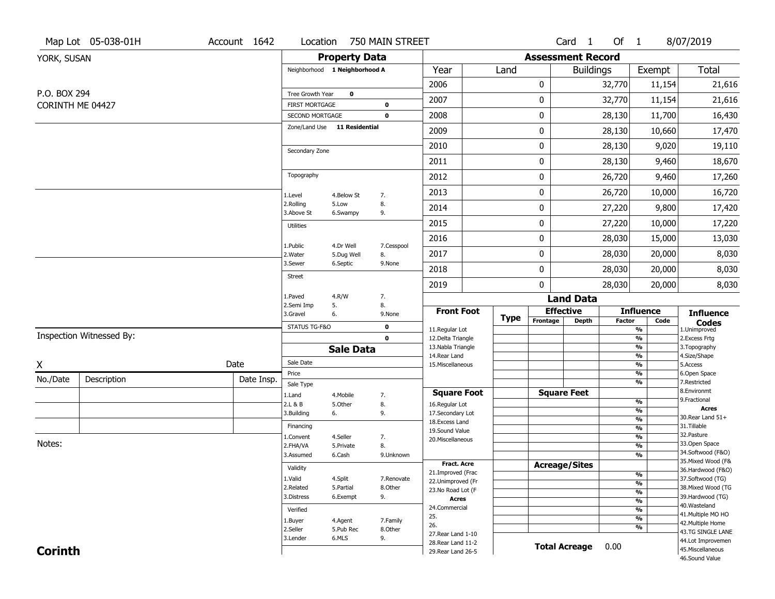|                  | Map Lot 05-038-01H       | Account 1642 |                                   |                               | Location 750 MAIN STREET   |                                          |             |                              | Card 1           | Of 1          |                                                      | 8/07/2019                              |
|------------------|--------------------------|--------------|-----------------------------------|-------------------------------|----------------------------|------------------------------------------|-------------|------------------------------|------------------|---------------|------------------------------------------------------|----------------------------------------|
| YORK, SUSAN      |                          |              |                                   | <b>Property Data</b>          |                            |                                          |             | <b>Assessment Record</b>     |                  |               |                                                      |                                        |
|                  |                          |              |                                   | Neighborhood 1 Neighborhood A |                            | Year                                     | Land        |                              | <b>Buildings</b> |               | Exempt                                               | <b>Total</b>                           |
|                  |                          |              |                                   |                               |                            | 2006                                     |             | 0                            |                  | 32,770        | 11,154                                               | 21,616                                 |
| P.O. BOX 294     |                          |              | Tree Growth Year                  | $\bf{0}$                      |                            | 2007                                     |             | 0                            |                  | 32,770        | 11,154                                               | 21,616                                 |
| CORINTH ME 04427 |                          |              | FIRST MORTGAGE<br>SECOND MORTGAGE |                               | $\mathbf 0$<br>$\mathbf 0$ | 2008                                     |             | 0                            |                  | 28,130        | 11,700                                               | 16,430                                 |
|                  |                          |              |                                   | Zone/Land Use 11 Residential  |                            | 2009                                     |             | 0                            |                  | 28,130        | 10,660                                               | 17,470                                 |
|                  |                          |              |                                   |                               |                            | 2010                                     |             | 0                            |                  | 28,130        | 9,020                                                | 19,110                                 |
|                  |                          |              | Secondary Zone                    |                               |                            | 2011                                     |             | 0                            |                  | 28,130        | 9,460                                                | 18,670                                 |
|                  |                          |              | Topography                        |                               |                            | 2012                                     |             | 0                            |                  | 26,720        | 9,460                                                | 17,260                                 |
|                  |                          |              | 1.Level                           | 4.Below St                    | 7.                         | 2013                                     |             | 0                            |                  | 26,720        | 10,000                                               | 16,720                                 |
|                  |                          |              | 2.Rolling<br>3.Above St           | 5.Low<br>6.Swampy             | 8.<br>9.                   | 2014                                     |             | 0                            |                  | 27,220        | 9,800                                                | 17,420                                 |
|                  |                          |              | <b>Utilities</b>                  |                               |                            | 2015                                     |             | 0                            |                  | 27,220        | 10,000                                               | 17,220                                 |
|                  |                          |              |                                   | 4.Dr Well                     |                            | 2016                                     |             | 0                            |                  | 28,030        | 15,000                                               | 13,030                                 |
|                  |                          |              | 1.Public<br>2.Water               | 5.Dug Well                    | 7.Cesspool<br>8.           | 2017                                     |             | 0                            |                  | 28,030        | 20,000                                               | 8,030                                  |
|                  |                          |              | 3.Sewer<br><b>Street</b>          | 6.Septic                      | 9.None                     | 2018                                     |             | 0                            |                  | 28,030        | 20,000                                               | 8,030                                  |
|                  |                          |              |                                   |                               |                            | 2019                                     |             | 0                            |                  | 28,030        | 20,000                                               | 8,030                                  |
|                  |                          |              | 1.Paved<br>2.Semi Imp             | 4.R/W<br>5.                   | 7.<br>8.                   |                                          |             |                              | <b>Land Data</b> |               |                                                      |                                        |
|                  |                          |              | 3.Gravel                          | 6.                            | 9.None                     | <b>Front Foot</b>                        | <b>Type</b> | <b>Effective</b><br>Frontage | <b>Depth</b>     | <b>Factor</b> | <b>Influence</b><br>Code                             | <b>Influence</b>                       |
|                  |                          |              | STATUS TG-F&O                     |                               | 0                          | 11.Regular Lot                           |             |                              |                  |               | %                                                    | <b>Codes</b><br>1.Unimproved           |
|                  | Inspection Witnessed By: |              |                                   |                               | $\mathbf 0$                | 12.Delta Triangle<br>13. Nabla Triangle  |             |                              |                  |               | %<br>%                                               | 2. Excess Frtg<br>3. Topography        |
|                  |                          |              | Sale Date                         | <b>Sale Data</b>              |                            | 14. Rear Land                            |             |                              |                  |               | %                                                    | 4.Size/Shape                           |
| X                |                          | Date         | Price                             |                               |                            | 15. Miscellaneous                        |             |                              |                  |               | %<br>%                                               | 5.Access<br>6.Open Space               |
| No./Date         | Description              | Date Insp.   | Sale Type                         |                               |                            |                                          |             |                              |                  |               | %                                                    | 7.Restricted                           |
|                  |                          |              | 1.Land                            | 4. Mobile                     | 7.                         | <b>Square Foot</b>                       |             | <b>Square Feet</b>           |                  |               |                                                      | 8.Environmt                            |
|                  |                          |              | 2.L & B                           | 5.Other                       | 8.                         | 16.Regular Lot                           |             |                              |                  |               | %<br>$\overline{\frac{9}{6}}$                        | 9. Fractional<br><b>Acres</b>          |
|                  |                          |              | 3.Building                        | 6.                            | 9.                         | 17.Secondary Lot<br>18.Excess Land       |             |                              |                  |               | $\frac{9}{6}$                                        | 30. Rear Land 51+                      |
|                  |                          |              | Financing                         |                               |                            | 19.Sound Value                           |             |                              |                  |               | $\frac{9}{6}$                                        | 31.Tillable                            |
| Notes:           |                          |              | 1.Convent                         | 4.Seller                      | 7.                         | 20.Miscellaneous                         |             |                              |                  |               | $\overline{\frac{9}{6}}$                             | 32. Pasture<br>33.Open Space           |
|                  |                          |              | 2.FHA/VA<br>3.Assumed             | 5.Private<br>6.Cash           | 8.<br>9.Unknown            |                                          |             |                              |                  |               | $\overline{\frac{9}{6}}$<br>$\overline{\frac{9}{6}}$ | 34.Softwood (F&O)                      |
|                  |                          |              |                                   |                               |                            | Fract. Acre                              |             | <b>Acreage/Sites</b>         |                  |               |                                                      | 35. Mixed Wood (F&                     |
|                  |                          |              | Validity                          |                               |                            | 21.Improved (Frac                        |             |                              |                  |               | %                                                    | 36.Hardwood (F&O)                      |
|                  |                          |              | 1.Valid<br>2.Related              | 4.Split                       | 7.Renovate                 | 22.Unimproved (Fr                        |             |                              |                  |               | %                                                    | 37.Softwood (TG)<br>38. Mixed Wood (TG |
|                  |                          |              | 3.Distress                        | 5.Partial<br>6.Exempt         | 8.Other<br>9.              | 23. No Road Lot (F                       |             |                              |                  |               | %                                                    | 39.Hardwood (TG)                       |
|                  |                          |              |                                   |                               |                            | Acres<br>24.Commercial                   |             |                              |                  |               | %                                                    | 40. Wasteland                          |
|                  |                          |              | Verified                          |                               |                            |                                          |             |                              |                  |               | %                                                    | 41. Multiple MO HO                     |
|                  |                          |              |                                   |                               |                            | 25.                                      |             |                              |                  |               |                                                      |                                        |
|                  |                          |              | 1.Buyer                           | 4.Agent                       | 7.Family                   | 26.                                      |             |                              |                  |               | %<br>%                                               | 42. Multiple Home                      |
|                  |                          |              | 2.Seller                          | 5.Pub Rec                     | 8.Other                    | 27. Rear Land 1-10                       |             |                              |                  |               |                                                      | 43.TG SINGLE LANE                      |
| <b>Corinth</b>   |                          |              | 3.Lender                          | 6.MLS                         | 9.                         | 28. Rear Land 11-2<br>29. Rear Land 26-5 |             | <b>Total Acreage</b>         |                  | 0.00          |                                                      | 44.Lot Improvemen<br>45. Miscellaneous |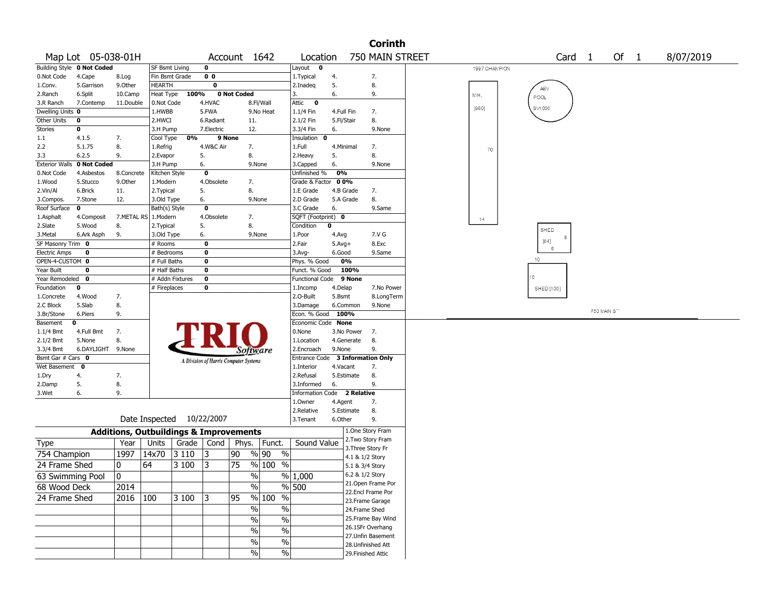|                         |                            |                  |                                                   |                   |                                       |                   |                            |                                  | <b>Corinth</b>                          |               |            |                   |             |      |           |  |
|-------------------------|----------------------------|------------------|---------------------------------------------------|-------------------|---------------------------------------|-------------------|----------------------------|----------------------------------|-----------------------------------------|---------------|------------|-------------------|-------------|------|-----------|--|
|                         | Map Lot 05-038-01H         |                  |                                                   |                   | Account 1642                          |                   | Location                   |                                  | 750 MAIN STREET                         |               |            | Card <sub>1</sub> |             | Of 1 | 8/07/2019 |  |
|                         | Building Style 0 Not Coded |                  | SF Bsmt Living                                    | $\mathbf 0$       |                                       |                   | Layout 0                   |                                  |                                         | 1997 CHAMPION |            |                   |             |      |           |  |
| 0.Not Code              | 4.Cape                     | 8.Log            | Fin Bsmt Grade                                    | 0 <sub>0</sub>    |                                       |                   | 1. Typical                 | 4.                               | 7.                                      |               |            |                   |             |      |           |  |
| 1.Conv.                 | 5.Garrison                 | 9.Other          | HEARTH                                            | $\bf{0}$          |                                       |                   | 2.Inadeg                   | 5.                               | 8.                                      |               | ABV        |                   |             |      |           |  |
| 2.Ranch                 | 6.Split                    | 10.Camp          | Heat Type                                         | 100%              | 0 Not Coded                           | 3.                |                            | 6.                               | 9.                                      | M/H.          | POOL       |                   |             |      |           |  |
| 3.R Ranch               | 7.Contemp                  | 11.Double        | 0.Not Code                                        | 4.HVAC            | 8.Fl/Wall                             |                   | Attic 0                    |                                  |                                         |               |            |                   |             |      |           |  |
| Dwelling Units 0        |                            |                  | 1.HWBB                                            | 5.FWA             | 9.No Heat                             |                   | 1.1/4 Fin                  | 4.Full Fin                       | 7.                                      | [980]         | SV1000     |                   |             |      |           |  |
| Other Units             | 0                          |                  | 2.HWCI                                            | 6.Radiant         | 11.                                   |                   | 2.1/2 Fin                  | 5.Fl/Stair                       | 8.                                      |               |            |                   |             |      |           |  |
| Stories                 | 0                          |                  | 3.H Pump                                          | 7.Electric        | 12.                                   |                   | 3.3/4 Fin                  | 6.                               | 9.None                                  |               |            |                   |             |      |           |  |
| $1.1\,$                 | 4.1.5                      | 7.               | Cool Type                                         | 0%                | 9 None                                |                   | Insulation<br>$\mathbf{0}$ |                                  |                                         |               |            |                   |             |      |           |  |
| 2.2                     | 5.1.75                     | 8.               | 1.Refrig                                          | 4.W&C Air         | 7.                                    | 1.Full            |                            | 4.Minimal                        | 7.                                      | 70            |            |                   |             |      |           |  |
| 3.3                     | 6.2.5                      | 9.               | 2.Evapor                                          | 5.                | 8.                                    |                   | 2. Heavy                   | 5.                               | 8.                                      |               |            |                   |             |      |           |  |
| <b>Exterior Walls</b>   | 0 Not Coded                |                  | 3.H Pump                                          | 6.                | 9.None                                |                   | 3.Capped                   | 6.                               | 9.None                                  |               |            |                   |             |      |           |  |
| 0.Not Code              | 4.Asbestos                 | 8.Concrete       | Kitchen Style                                     | $\mathbf 0$       |                                       |                   | Unfinished %               | 0%                               |                                         |               |            |                   |             |      |           |  |
| 1.Wood                  | 5.Stucco                   | 9.0ther          | 1.Modern                                          | 4.Obsolete        | 7.                                    |                   | Grade & Factor             | 0 0%                             |                                         |               |            |                   |             |      |           |  |
| 2.Vin/Al                | 6.Brick                    | 11.              | 2. Typical                                        | 5.                | 8.                                    |                   | 1.E Grade                  | 4.B Grade                        | 7.                                      |               |            |                   |             |      |           |  |
| 3.Compos.               | 7.Stone                    | 12.              | 3.Old Type                                        | 6.                | 9.None                                |                   | 2.D Grade                  | 5.A Grade                        | 8.                                      |               |            |                   |             |      |           |  |
| Roof Surface            | $\mathbf{o}$               |                  | Bath(s) Style                                     | $\mathbf 0$       |                                       |                   | 3.C Grade                  | 6.                               | 9.Same                                  |               |            |                   |             |      |           |  |
| 1.Asphalt               | 4.Composit                 | 7.METAL RS<br>8. | 1.Modern                                          | 4.Obsolete        | 7.<br>8.                              |                   | SQFT (Footprint) 0<br>0    |                                  |                                         | 14            |            |                   |             |      |           |  |
| 2.Slate<br>3.Metal      | 5.Wood<br>6.Ark Asph       | 9.               | 2. Typical<br>3.Old Type                          | 5.                | 9.None                                | 1.Poor            | Condition                  |                                  | 7.V G                                   |               | SHED       |                   |             |      |           |  |
| SF Masonry Trim 0       |                            |                  | # Rooms                                           | 6.<br>$\mathbf 0$ |                                       | 2.Fair            |                            | 4.Avg<br>$5.$ Avg $+$            | 8.Exc                                   |               | [64]       |                   |             |      |           |  |
| <b>Electric Amps</b>    | 0                          |                  | # Bedrooms                                        | 0                 |                                       | 3.Avg-            |                            | 6.Good                           | 9.Same                                  |               | -8         |                   |             |      |           |  |
| OPEN-4-CUSTOM 0         |                            |                  | # Full Baths                                      | $\mathbf 0$       |                                       |                   | Phys. % Good               | 0%                               |                                         |               | 10         |                   |             |      |           |  |
| Year Built              | $\mathbf 0$                |                  | $#$ Half Baths                                    | 0                 |                                       |                   | Funct. % Good              | 100%                             |                                         |               |            |                   |             |      |           |  |
| Year Remodeled          | 0                          |                  | # Addn Fixtures                                   | $\mathbf 0$       |                                       |                   | <b>Functional Code</b>     | 9 None                           |                                         |               | 10.        |                   |             |      |           |  |
| Foundation              | 0                          |                  | # Fireplaces                                      | 0                 |                                       |                   | 1.Incomp                   | 4.Delap                          | 7.No Power                              |               | SHED [100] |                   |             |      |           |  |
| 1.Concrete              | 4.Wood                     | 7.               |                                                   |                   |                                       |                   | 2.0-Built                  | 5.Bsmt                           | 8.LongTerm                              |               |            |                   |             |      |           |  |
|                         |                            |                  |                                                   |                   |                                       |                   |                            |                                  |                                         |               |            |                   |             |      |           |  |
|                         |                            |                  |                                                   |                   |                                       |                   |                            |                                  |                                         |               |            |                   |             |      |           |  |
| 2.C Block<br>3.Br/Stone | 5.Slab<br>6.Piers          | 8.<br>9.         |                                                   |                   |                                       |                   | 3.Damage<br>Econ. % Good   | 6.Common<br>100%                 | 9.None                                  |               |            |                   | 750 MAIN ST |      |           |  |
| Basement                | 0                          |                  |                                                   |                   |                                       |                   | Economic Code None         |                                  |                                         |               |            |                   |             |      |           |  |
| $1.1/4$ Bmt             | 4.Full Bmt                 | 7.               |                                                   |                   |                                       |                   | 0.None                     | 3.No Power                       | 7.                                      |               |            |                   |             |      |           |  |
| $2.1/2$ Bmt             | 5.None                     | 8.               |                                                   |                   |                                       |                   | 1.Location                 | 4.Generate                       | 8.                                      |               |            |                   |             |      |           |  |
| 3.3/4 Bmt               | 6.DAYLIGHT                 | 9.None           |                                                   |                   | Software                              |                   | 2.Encroach                 | 9.None                           | 9.                                      |               |            |                   |             |      |           |  |
| Bsmt Gar # Cars 0       |                            |                  |                                                   |                   |                                       |                   |                            | Entrance Code 3 Information Only |                                         |               |            |                   |             |      |           |  |
| Wet Basement            | $\mathbf 0$                |                  |                                                   |                   | A Division of Harris Computer Systems |                   | 1.Interior                 | 4.Vacant                         | 7.                                      |               |            |                   |             |      |           |  |
| 1.Dry                   | 4.                         | 7.               |                                                   |                   |                                       |                   | 2.Refusal                  | 5.Estimate                       | 8.                                      |               |            |                   |             |      |           |  |
| 2.Damp                  | 5.                         | 8.               |                                                   |                   |                                       |                   | 3.Informed                 | 6.                               | 9.                                      |               |            |                   |             |      |           |  |
| 3.Wet                   | 6.                         | 9.               |                                                   |                   |                                       |                   | Information Code           | 2 Relative                       |                                         |               |            |                   |             |      |           |  |
|                         |                            |                  |                                                   |                   |                                       |                   | 1.0wner                    | 4.Agent                          | 7.                                      |               |            |                   |             |      |           |  |
|                         |                            |                  |                                                   |                   |                                       |                   | 2.Relative                 | 5.Estimate                       | 8.                                      |               |            |                   |             |      |           |  |
|                         |                            |                  | Date Inspected 10/22/2007                         |                   |                                       |                   | 3. Tenant                  | 6.Other                          | 9.                                      |               |            |                   |             |      |           |  |
|                         |                            |                  |                                                   |                   |                                       |                   |                            |                                  | 1.One Story Fram                        |               |            |                   |             |      |           |  |
|                         |                            |                  | <b>Additions, Outbuildings &amp; Improvements</b> |                   |                                       |                   |                            |                                  | 2. Two Story Fram                       |               |            |                   |             |      |           |  |
| <b>Type</b>             |                            | Year             | Units                                             | Grade $ $<br>Cond | Phys.                                 | Funct.            | Sound Value                |                                  | 3. Three Story Fr                       |               |            |                   |             |      |           |  |
| 754 Champion            |                            | 1997             | 14x70<br>3 1 1 0                                  | 3                 | %  90<br>90                           | $\%$              |                            |                                  | 4.1 & 1/2 Story                         |               |            |                   |             |      |           |  |
| 24 Frame Shed           |                            | 0                | 64<br>3 100                                       | 3                 | 75                                    | % 100 %           |                            |                                  | 5.1 & 3/4 Story                         |               |            |                   |             |      |           |  |
| 63 Swimming Pool        |                            | 0                |                                                   |                   | $\frac{0}{0}$                         | % 1,000           |                            |                                  | 6.2 & 1/2 Story                         |               |            |                   |             |      |           |  |
| 68 Wood Deck            |                            | 2014             |                                                   |                   | $\sqrt{6}$                            | $\frac{9}{6}$ 500 |                            |                                  | 21. Open Frame Por                      |               |            |                   |             |      |           |  |
|                         |                            |                  |                                                   |                   |                                       |                   |                            |                                  | 22.Encl Frame Por                       |               |            |                   |             |      |           |  |
| 24 Frame Shed           |                            | $2016$   100     | 3 100                                             | 3                 | 95<br>% 100                           | $\%$              |                            |                                  | 23. Frame Garage                        |               |            |                   |             |      |           |  |
|                         |                            |                  |                                                   |                   | $\sqrt{6}$                            | $\%$              |                            |                                  | 24.Frame Shed                           |               |            |                   |             |      |           |  |
|                         |                            |                  |                                                   |                   | $\sqrt{6}$                            | $\%$              |                            |                                  | 25. Frame Bay Wind                      |               |            |                   |             |      |           |  |
|                         |                            |                  |                                                   |                   | $\overline{\frac{0}{0}}$              | $\%$              |                            |                                  | 26.1SFr Overhang                        |               |            |                   |             |      |           |  |
|                         |                            |                  |                                                   |                   | $\%$                                  | $\%$              |                            |                                  | 27.Unfin Basement                       |               |            |                   |             |      |           |  |
|                         |                            |                  |                                                   |                   | %                                     | $\%$              |                            |                                  | 28.Unfinished Att<br>29. Finished Attic |               |            |                   |             |      |           |  |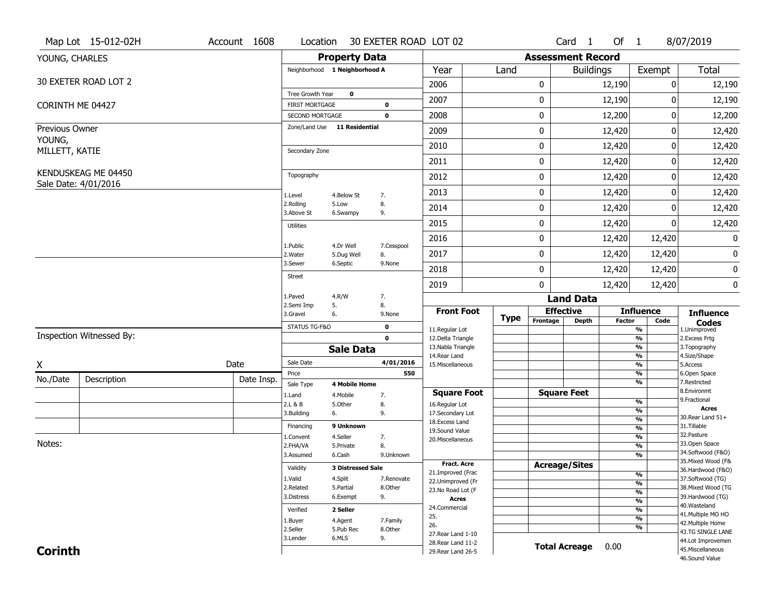|                  | Map Lot 15-012-02H                          | Account 1608 | Location                                 |                          | 30 EXETER ROAD LOT 02      |                                          |             |                              | Card <sub>1</sub>    | Of 1          |                                | 8/07/2019                               |
|------------------|---------------------------------------------|--------------|------------------------------------------|--------------------------|----------------------------|------------------------------------------|-------------|------------------------------|----------------------|---------------|--------------------------------|-----------------------------------------|
| YOUNG, CHARLES   |                                             |              |                                          | <b>Property Data</b>     |                            |                                          |             | <b>Assessment Record</b>     |                      |               |                                |                                         |
|                  |                                             |              | Neighborhood 1 Neighborhood A            |                          |                            | Year                                     | Land        |                              | <b>Buildings</b>     |               | Exempt                         | <b>Total</b>                            |
|                  | 30 EXETER ROAD LOT 2                        |              |                                          |                          |                            | 2006                                     |             | 0                            |                      | 12,190        | 0                              | 12,190                                  |
|                  |                                             |              | Tree Growth Year                         | $\mathbf 0$              |                            | 2007                                     |             | 0                            |                      | 12,190        | 0                              | 12,190                                  |
| CORINTH ME 04427 |                                             |              | <b>FIRST MORTGAGE</b><br>SECOND MORTGAGE |                          | $\mathbf 0$<br>$\mathbf 0$ | 2008                                     |             | 0                            |                      | 12,200        | $\pmb{0}$                      | 12,200                                  |
| Previous Owner   |                                             |              | Zone/Land Use 11 Residential             |                          |                            |                                          |             |                              |                      |               |                                |                                         |
| YOUNG,           |                                             |              |                                          |                          |                            | 2009                                     |             | 0                            |                      | 12,420        | 0                              | 12,420                                  |
| MILLETT, KATIE   |                                             |              | Secondary Zone                           |                          |                            | 2010                                     |             | 0                            |                      | 12,420        | 0                              | 12,420                                  |
|                  |                                             |              |                                          |                          |                            | 2011                                     |             | 0                            |                      | 12,420        | 0                              | 12,420                                  |
|                  | KENDUSKEAG ME 04450<br>Sale Date: 4/01/2016 |              | Topography                               |                          |                            | 2012                                     |             | 0                            |                      | 12,420        | 0                              | 12,420                                  |
|                  |                                             |              | 1.Level                                  | 4.Below St               | 7.                         | 2013                                     |             | 0                            |                      | 12,420        | 0                              | 12,420                                  |
|                  |                                             |              | 2.Rolling<br>3.Above St                  | 5.Low<br>6.Swampy        | 8.<br>9.                   | 2014                                     |             | 0                            |                      | 12,420        | 0                              | 12,420                                  |
|                  |                                             |              | <b>Utilities</b>                         |                          |                            | 2015                                     |             | 0                            |                      | 12,420        | 0                              | 12,420                                  |
|                  |                                             |              |                                          |                          |                            | 2016                                     |             | 0                            |                      | 12,420        | 12,420                         | $\mathbf 0$                             |
|                  |                                             |              | 1.Public<br>2. Water                     | 4.Dr Well<br>5.Dug Well  | 7.Cesspool<br>8.           | 2017                                     |             | 0                            |                      | 12,420        | 12,420                         | 0                                       |
|                  |                                             |              | 3.Sewer                                  | 6.Septic                 | 9.None                     |                                          |             |                              |                      |               |                                |                                         |
|                  |                                             |              | <b>Street</b>                            |                          |                            | 2018                                     |             | 0                            |                      | 12,420        | 12,420                         | $\pmb{0}$                               |
|                  |                                             |              | 1.Paved                                  | 4.R/W                    | 7.                         | 2019                                     |             | 0                            |                      | 12,420        | 12,420                         | 0                                       |
|                  |                                             |              | 2.Semi Imp                               | 5.                       | 8.                         |                                          |             |                              | <b>Land Data</b>     |               |                                |                                         |
|                  |                                             |              | 3.Gravel                                 | 6.                       | 9.None                     | <b>Front Foot</b>                        | <b>Type</b> | <b>Effective</b><br>Frontage | <b>Depth</b>         | <b>Factor</b> | <b>Influence</b><br>Code       | <b>Influence</b><br><b>Codes</b>        |
|                  | Inspection Witnessed By:                    |              | STATUS TG-F&O                            |                          | $\mathbf 0$<br>$\mathbf 0$ | 11.Regular Lot                           |             |                              |                      |               | $\frac{9}{6}$                  | 1.Unimproved                            |
|                  |                                             |              |                                          | <b>Sale Data</b>         |                            | 12.Delta Triangle<br>13. Nabla Triangle  |             |                              |                      |               | $\frac{9}{6}$<br>%             | 2. Excess Frtg<br>3. Topography         |
|                  |                                             | Date         | Sale Date                                |                          | 4/01/2016                  | 14. Rear Land                            |             |                              |                      |               | $\frac{9}{6}$<br>$\frac{9}{6}$ | 4.Size/Shape                            |
| X                |                                             |              | Price                                    |                          | 550                        | 15. Miscellaneous                        |             |                              |                      |               | %                              | 5.Access<br>6.Open Space                |
| No./Date         | Description                                 | Date Insp.   | Sale Type                                | <b>4 Mobile Home</b>     |                            |                                          |             |                              |                      |               | %                              | 7.Restricted                            |
|                  |                                             |              | 1.Land                                   | 4. Mobile                | 7.                         | <b>Square Foot</b>                       |             | <b>Square Feet</b>           |                      |               | %                              | 8.Environmt<br>9. Fractional            |
|                  |                                             |              | 2.L & B<br>3.Building                    | 5.Other<br>6.            | 8.<br>9.                   | 16.Regular Lot<br>17.Secondary Lot       |             |                              |                      |               | %                              | <b>Acres</b>                            |
|                  |                                             |              | Financing                                | 9 Unknown                |                            | 18.Excess Land                           |             |                              |                      |               | $\frac{9}{6}$                  | 30. Rear Land 51+<br>31.Tillable        |
|                  |                                             |              | 1.Convent                                | 4.Seller                 | 7.                         | 19.Sound Value                           |             |                              |                      |               | $\frac{9}{6}$<br>$\frac{9}{6}$ | 32.Pasture                              |
| Notes:           |                                             |              | 2.FHA/VA                                 | 5.Private                | 8.                         | 20.Miscellaneous                         |             |                              |                      |               | $\frac{9}{6}$                  | 33.Open Space                           |
|                  |                                             |              | 3.Assumed                                | 6.Cash                   | 9.Unknown                  |                                          |             |                              |                      |               | $\frac{9}{6}$                  | 34.Softwood (F&O)                       |
|                  |                                             |              | Validity                                 | <b>3 Distressed Sale</b> |                            | <b>Fract. Acre</b>                       |             | <b>Acreage/Sites</b>         |                      |               |                                | 35. Mixed Wood (F&<br>36.Hardwood (F&O) |
|                  |                                             |              | 1.Valid                                  | 4.Split                  | 7.Renovate                 | 21.Improved (Frac                        |             |                              |                      |               | %                              | 37.Softwood (TG)                        |
|                  |                                             |              | 2.Related                                | 5.Partial                | 8.Other                    | 22.Unimproved (Fr<br>23.No Road Lot (F   |             |                              |                      |               | $\frac{9}{6}$                  | 38. Mixed Wood (TG                      |
|                  |                                             |              | 3.Distress                               | 6.Exempt                 | 9.                         | Acres                                    |             |                              |                      |               | $\frac{9}{6}$<br>$\frac{9}{6}$ | 39.Hardwood (TG)                        |
|                  |                                             |              | Verified                                 | 2 Seller                 |                            | 24.Commercial                            |             |                              |                      |               | $\frac{9}{6}$                  | 40. Wasteland                           |
|                  |                                             |              | 1.Buyer                                  | 4.Agent                  | 7.Family                   | 25.                                      |             |                              |                      |               | $\frac{9}{6}$                  | 41. Multiple MO HO                      |
|                  |                                             |              | 2.Seller                                 | 5.Pub Rec                | 8.Other                    | 26.                                      |             |                              |                      |               | $\frac{9}{6}$                  | 42. Multiple Home                       |
|                  |                                             |              |                                          |                          |                            |                                          |             |                              |                      |               |                                |                                         |
|                  |                                             |              | 3.Lender                                 | 6.MLS                    | 9.                         | 27. Rear Land 1-10                       |             |                              |                      |               |                                | 43.TG SINGLE LANE                       |
| <b>Corinth</b>   |                                             |              |                                          |                          |                            | 28. Rear Land 11-2<br>29. Rear Land 26-5 |             |                              | <b>Total Acreage</b> | 0.00          |                                | 44.Lot Improvemen<br>45. Miscellaneous  |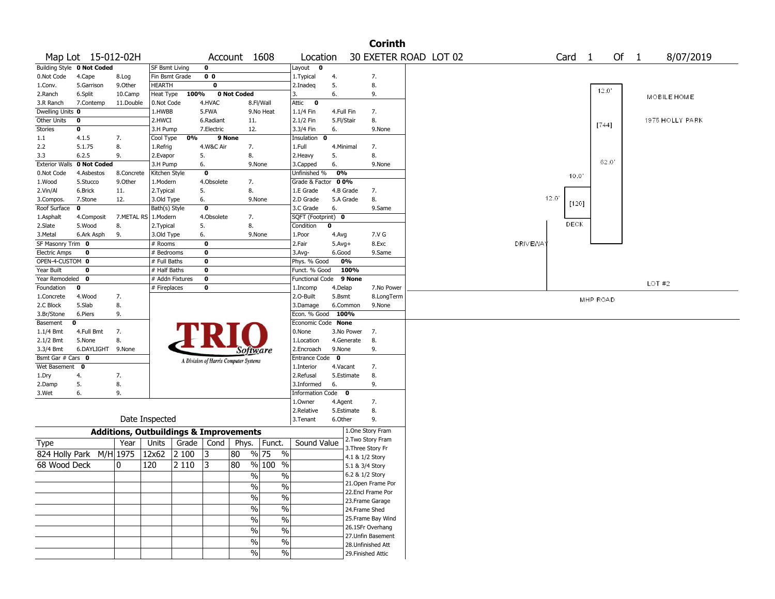|                       |                            |                                                   |                 |         |                                       |              |                                |                        |              |            | <b>Corinth</b>                        |  |                |                |                |          |      |                 |  |
|-----------------------|----------------------------|---------------------------------------------------|-----------------|---------|---------------------------------------|--------------|--------------------------------|------------------------|--------------|------------|---------------------------------------|--|----------------|----------------|----------------|----------|------|-----------------|--|
|                       | Map Lot 15-012-02H         |                                                   |                 |         |                                       | Account 1608 |                                | Location               |              |            | 30 EXETER ROAD LOT 02                 |  |                | Card           | $\overline{1}$ |          | Of 1 | 8/07/2019       |  |
|                       | Building Style 0 Not Coded |                                                   | SF Bsmt Living  |         | $\mathbf 0$                           |              |                                | Layout<br>0            |              |            |                                       |  |                |                |                |          |      |                 |  |
| 0.Not Code            | 4.Cape                     | 8.Log                                             | Fin Bsmt Grade  |         | 0 <sub>0</sub>                        |              |                                | 1. Typical             | 4.           |            | 7.                                    |  |                |                |                |          |      |                 |  |
| 1.Conv.               | 5.Garrison                 | 9.0ther                                           | <b>HEARTH</b>   |         | $\mathbf 0$                           |              |                                | 2.Inadeg               | 5.           |            | 8.                                    |  |                |                |                | 12.0     |      |                 |  |
| 2.Ranch               | 6.Split                    | 10.Camp                                           | Heat Type       | 100%    |                                       | 0 Not Coded  |                                | 3.                     | 6.           |            | 9.                                    |  |                |                |                |          |      | MOBILE HOME     |  |
| 3.R Ranch             | 7.Contemp                  | 11.Double                                         | 0.Not Code      |         | 4.HVAC                                |              | 8.Fl/Wall                      | Attic<br>$\bullet$     |              |            |                                       |  |                |                |                |          |      |                 |  |
| Dwelling Units 0      |                            |                                                   | 1.HWBB          |         | 5.FWA                                 |              | 9.No Heat                      | 1.1/4 Fin              | 4.Full Fin   |            | 7.                                    |  |                |                |                |          |      |                 |  |
| Other Units           | 0                          |                                                   | 2.HWCI          |         | 6.Radiant                             | 11.          |                                | 2.1/2 Fin              | 5.Fl/Stair   |            | 8.                                    |  |                |                |                | [744]    |      | 1975 HOLLY PARK |  |
| Stories               | 0                          |                                                   | 3.H Pump        |         | 7.Electric                            | 12.          |                                | 3.3/4 Fin              | 6.           |            | 9.None                                |  |                |                |                |          |      |                 |  |
| 1.1                   | 4.1.5                      | 7.                                                | Cool Type       | 0%      |                                       | 9 None       |                                | Insulation<br>0        |              |            |                                       |  |                |                |                |          |      |                 |  |
| 2.2                   | 5.1.75                     | 8.                                                | 1.Refrig        |         | 4.W&C Air                             | 7.           |                                | 1.Full                 | 4.Minimal    |            | 7.                                    |  |                |                |                |          |      |                 |  |
| 3.3                   | 6.2.5                      | 9.                                                | 2.Evapor        |         | 5.                                    | 8.           |                                | 2.Heavy                | 5.           |            | 8.                                    |  |                |                |                | 62.0     |      |                 |  |
| <b>Exterior Walls</b> | 0 Not Coded                |                                                   | 3.H Pump        |         | 6.                                    |              | 9.None                         | 3.Capped               | 6.           |            | 9.None                                |  |                |                |                |          |      |                 |  |
| 0.Not Code            | 4.Asbestos                 | 8.Concrete                                        | Kitchen Style   |         | $\bf{0}$                              |              |                                | Unfinished %           | 0%           |            |                                       |  |                | 10.0'          |                |          |      |                 |  |
| 1.Wood                | 5.Stucco                   | 9.0ther                                           | 1.Modern        |         | 4.Obsolete                            | 7.           |                                | Grade & Factor         | 0 0%         |            |                                       |  |                |                |                |          |      |                 |  |
| 2.Vin/Al              | 6.Brick                    | 11.                                               | 2. Typical      |         | 5.                                    | 8.           |                                | 1.E Grade              |              | 4.B Grade  | 7.                                    |  |                |                |                |          |      |                 |  |
| 3.Compos.             | 7.Stone                    | 12.                                               | 3.Old Type      |         | 6.                                    |              | 9.None                         | 2.D Grade              |              | 5.A Grade  | 8.                                    |  |                | $12.0^{\circ}$ | [120]          |          |      |                 |  |
| Roof Surface          | 0                          |                                                   | Bath(s) Style   |         | $\bf{0}$                              |              |                                | 3.C Grade              | 6.           |            | 9.Same                                |  |                |                |                |          |      |                 |  |
| 1.Asphalt             | 4.Composit                 | 7.METAL RS                                        | 1.Modern        |         | 4.Obsolete                            | 7.           |                                | SQFT (Footprint) 0     |              |            |                                       |  |                | DECK           |                |          |      |                 |  |
| 2.Slate               | 5.Wood                     | 8.                                                | 2. Typical      |         | 5.                                    | 8.           |                                | Condition              | 0            |            |                                       |  |                |                |                |          |      |                 |  |
| 3.Metal               | 6.Ark Asph                 | 9.                                                | 3.Old Type      |         | 6.                                    |              | 9.None                         | 1.Poor                 | 4.Avg        |            | 7.V G                                 |  |                |                |                |          |      |                 |  |
| SF Masonry Trim 0     |                            |                                                   | # Rooms         |         | $\mathbf 0$                           |              |                                | 2.Fair                 | $5.Avg+$     |            | 8.Exc                                 |  | <b>DRIVEWA</b> |                |                |          |      |                 |  |
| <b>Electric Amps</b>  | 0                          |                                                   | # Bedrooms      |         | 0                                     |              |                                | 3.Avg-                 | 6.Good       |            | 9.Same                                |  |                |                |                |          |      |                 |  |
| OPEN-4-CUSTOM 0       |                            |                                                   | # Full Baths    |         | $\mathbf 0$                           |              |                                | Phys. % Good           |              | 0%         |                                       |  |                |                |                |          |      |                 |  |
| Year Built            | $\mathbf 0$                |                                                   | # Half Baths    |         | $\mathbf 0$                           |              |                                | Funct. % Good          |              | 100%       |                                       |  |                |                |                |          |      |                 |  |
| Year Remodeled        | 0                          |                                                   | # Addn Fixtures |         | $\mathbf 0$                           |              |                                | <b>Functional Code</b> |              | 9 None     |                                       |  |                |                |                |          |      | $LOT$ #2        |  |
| Foundation            | 0                          |                                                   | # Fireplaces    |         | $\mathbf 0$                           |              |                                | 1.Incomp               | 4.Delap      |            | 7.No Power                            |  |                |                |                |          |      |                 |  |
| 1.Concrete            | 4.Wood                     | 7.                                                |                 |         |                                       |              |                                | 2.O-Built              | 5.Bsmt       |            | 8.LongTerm                            |  |                |                |                | MHP ROAD |      |                 |  |
| 2.C Block             | 5.Slab                     | 8.                                                |                 |         |                                       |              |                                | 3.Damage               |              | 6.Common   | 9.None                                |  |                |                |                |          |      |                 |  |
| 3.Br/Stone            | 6.Piers                    | 9.                                                |                 |         |                                       |              |                                | Econ. % Good           | 100%         |            |                                       |  |                |                |                |          |      |                 |  |
| Basement              | 0                          |                                                   |                 |         |                                       |              |                                | Economic Code None     |              |            |                                       |  |                |                |                |          |      |                 |  |
| $1.1/4$ Bmt           | 4.Full Bmt                 | 7.                                                |                 |         |                                       |              |                                | 0.None                 |              | 3.No Power | 7.                                    |  |                |                |                |          |      |                 |  |
| $2.1/2$ Bmt           | 5.None                     | 8.                                                |                 |         |                                       |              |                                | 1.Location             |              | 4.Generate | 8.                                    |  |                |                |                |          |      |                 |  |
| 3.3/4 Bmt             | 6.DAYLIGHT                 | 9.None                                            |                 |         |                                       |              | Software                       | 2.Encroach             | 9.None       |            | 9.                                    |  |                |                |                |          |      |                 |  |
| Bsmt Gar # Cars 0     |                            |                                                   |                 |         | A Division of Harris Computer Systems |              |                                | Entrance Code          | $\mathbf{o}$ |            |                                       |  |                |                |                |          |      |                 |  |
| Wet Basement          | 0                          |                                                   |                 |         |                                       |              |                                | 1.Interior             | 4.Vacant     |            | 7.                                    |  |                |                |                |          |      |                 |  |
| 1.Dry                 | 4.                         | 7.                                                |                 |         |                                       |              |                                | 2.Refusal              |              | 5.Estimate | 8.                                    |  |                |                |                |          |      |                 |  |
| 2.Damp                | 5.<br>6.                   | 8.                                                |                 |         |                                       |              |                                | 3.Informed             | 6.           |            | 9.                                    |  |                |                |                |          |      |                 |  |
| 3.Wet                 |                            | 9.                                                |                 |         |                                       |              |                                | Information Code 0     |              |            | 7.                                    |  |                |                |                |          |      |                 |  |
|                       |                            |                                                   |                 |         |                                       |              |                                | 1.Owner<br>2.Relative  | 4.Agent      | 5.Estimate | 8.                                    |  |                |                |                |          |      |                 |  |
|                       |                            |                                                   | Date Inspected  |         |                                       |              |                                | 3.Tenant               | 6.Other      |            | 9.                                    |  |                |                |                |          |      |                 |  |
|                       |                            | <b>Additions, Outbuildings &amp; Improvements</b> |                 |         |                                       |              |                                |                        |              |            | 1.One Story Fram                      |  |                |                |                |          |      |                 |  |
| <b>Type</b>           |                            | Year                                              | Units           | Grade   | Cond                                  | Phys.        | Funct.                         | Sound Value            |              |            | 2. Two Story Fram                     |  |                |                |                |          |      |                 |  |
| 824 Holly Park        |                            | $M/H$ 1975                                        | 12x62           | 2 100   | 3                                     | 80           | % 75<br>$\%$                   |                        |              |            | 3. Three Story Fr<br>4.1 & 1/2 Story  |  |                |                |                |          |      |                 |  |
| 68 Wood Deck          |                            | 0                                                 | 120             | 2 1 1 0 | 3                                     | 80           | % 100<br>$\%$                  |                        |              |            | 5.1 & 3/4 Story                       |  |                |                |                |          |      |                 |  |
|                       |                            |                                                   |                 |         |                                       |              |                                |                        |              |            |                                       |  |                |                |                |          |      |                 |  |
|                       |                            |                                                   |                 |         |                                       |              | $\frac{0}{0}$<br>$\frac{0}{0}$ |                        |              |            | 6.2 & 1/2 Story<br>21. Open Frame Por |  |                |                |                |          |      |                 |  |
|                       |                            |                                                   |                 |         |                                       |              | $\frac{0}{0}$<br>$\%$          |                        |              |            | 22.Encl Frame Por                     |  |                |                |                |          |      |                 |  |
|                       |                            |                                                   |                 |         |                                       |              | $\frac{0}{6}$<br>$\%$          |                        |              |            | 23.Frame Garage                       |  |                |                |                |          |      |                 |  |
|                       |                            |                                                   |                 |         |                                       |              | $\frac{1}{2}$<br>$\%$          |                        |              |            | 24.Frame Shed                         |  |                |                |                |          |      |                 |  |
|                       |                            |                                                   |                 |         |                                       |              |                                |                        |              |            | 25. Frame Bay Wind                    |  |                |                |                |          |      |                 |  |
|                       |                            |                                                   |                 |         |                                       |              | $\%$<br>$\frac{0}{0}$          |                        |              |            | 26.1SFr Overhang                      |  |                |                |                |          |      |                 |  |
|                       |                            |                                                   |                 |         |                                       |              | $\%$<br>$\frac{0}{0}$          |                        |              |            | 27. Unfin Basement                    |  |                |                |                |          |      |                 |  |
|                       |                            |                                                   |                 |         |                                       |              | $\frac{0}{0}$<br>$\%$          |                        |              |            | 28. Unfinished Att                    |  |                |                |                |          |      |                 |  |
|                       |                            |                                                   |                 |         |                                       |              | $\frac{0}{0}$<br>$\%$          |                        |              |            | 29. Finished Attic                    |  |                |                |                |          |      |                 |  |
|                       |                            |                                                   |                 |         |                                       |              |                                |                        |              |            |                                       |  |                |                |                |          |      |                 |  |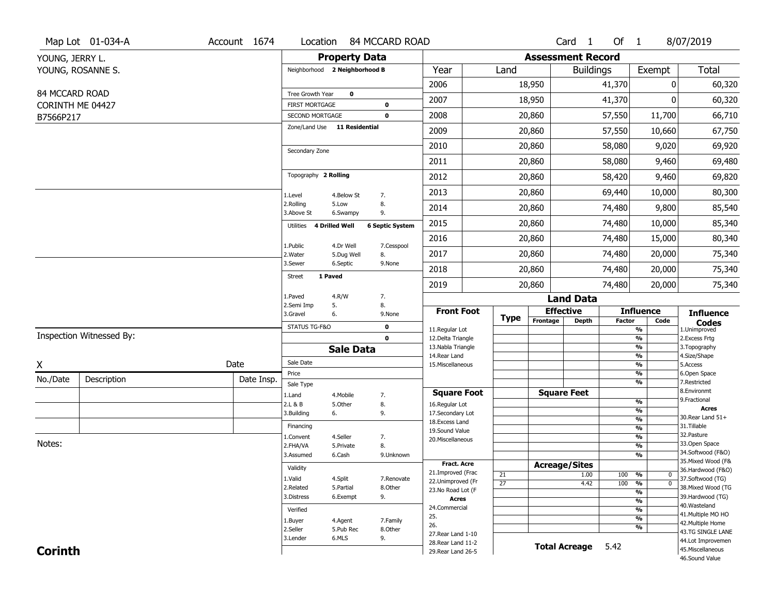|                 | Map Lot 01-034-A         | Account 1674 | Location                                 |                         | 84 MCCARD ROAD             |                                          |                 |             |                          | Card <sub>1</sub> | Of 1          |                                                      | 8/07/2019                               |
|-----------------|--------------------------|--------------|------------------------------------------|-------------------------|----------------------------|------------------------------------------|-----------------|-------------|--------------------------|-------------------|---------------|------------------------------------------------------|-----------------------------------------|
| YOUNG, JERRY L. |                          |              |                                          | <b>Property Data</b>    |                            |                                          |                 |             | <b>Assessment Record</b> |                   |               |                                                      |                                         |
|                 | YOUNG, ROSANNE S.        |              | Neighborhood 2 Neighborhood B            |                         |                            | Year                                     | Land            |             |                          | <b>Buildings</b>  |               | Exempt                                               | <b>Total</b>                            |
|                 |                          |              |                                          |                         |                            | 2006                                     |                 | 18,950      |                          |                   | 41,370        | 0                                                    | 60,320                                  |
| 84 MCCARD ROAD  |                          |              | Tree Growth Year                         | $\mathbf 0$             |                            | 2007                                     |                 | 18,950      |                          |                   | 41,370        | ŋ                                                    | 60,320                                  |
|                 | CORINTH ME 04427         |              | <b>FIRST MORTGAGE</b><br>SECOND MORTGAGE |                         | $\mathbf 0$<br>$\mathbf 0$ | 2008                                     |                 | 20,860      |                          |                   | 57,550        | 11,700                                               | 66,710                                  |
| B7566P217       |                          |              | Zone/Land Use 11 Residential             |                         |                            |                                          |                 |             |                          |                   |               |                                                      |                                         |
|                 |                          |              |                                          |                         |                            | 2009                                     |                 | 20,860      |                          |                   | 57,550        | 10,660                                               | 67,750                                  |
|                 |                          |              | Secondary Zone                           |                         |                            | 2010                                     |                 | 20,860      |                          |                   | 58,080        | 9,020                                                | 69,920                                  |
|                 |                          |              |                                          |                         |                            | 2011                                     |                 | 20,860      |                          |                   | 58,080        | 9,460                                                | 69,480                                  |
|                 |                          |              | Topography 2 Rolling                     |                         |                            | 2012                                     |                 | 20,860      |                          |                   | 58,420        | 9,460                                                | 69,820                                  |
|                 |                          |              | 1.Level                                  | 4.Below St              | 7.                         | 2013                                     |                 | 20,860      |                          |                   | 69,440        | 10,000                                               | 80,300                                  |
|                 |                          |              | 2.Rolling<br>3.Above St                  | 5.Low<br>6.Swampy       | 8.<br>9.                   | 2014                                     |                 | 20,860      |                          |                   | 74,480        | 9,800                                                | 85,540                                  |
|                 |                          |              | Utilities                                | <b>4 Drilled Well</b>   | <b>6 Septic System</b>     | 2015                                     |                 | 20,860      |                          |                   | 74,480        | 10,000                                               | 85,340                                  |
|                 |                          |              |                                          |                         |                            | 2016                                     |                 | 20,860      |                          |                   | 74,480        | 15,000                                               | 80,340                                  |
|                 |                          |              | 1.Public<br>2. Water                     | 4.Dr Well<br>5.Dug Well | 7.Cesspool<br>8.           | 2017                                     |                 | 20,860      |                          |                   | 74,480        | 20,000                                               | 75,340                                  |
|                 |                          |              | 3.Sewer                                  | 6.Septic                | 9.None                     | 2018                                     |                 | 20,860      |                          |                   | 74,480        | 20,000                                               | 75,340                                  |
|                 |                          |              | 1 Paved<br><b>Street</b>                 |                         |                            | 2019                                     |                 | 20,860      |                          |                   | 74,480        | 20,000                                               | 75,340                                  |
|                 |                          |              | 1.Paved                                  | 4.R/W                   | 7.                         |                                          |                 |             |                          | <b>Land Data</b>  |               |                                                      |                                         |
|                 |                          |              | 2.Semi Imp<br>3.Gravel                   | 5.<br>6.                | 8.<br>9.None               | <b>Front Foot</b>                        |                 |             | <b>Effective</b>         |                   |               | <b>Influence</b>                                     | <b>Influence</b>                        |
|                 |                          |              | STATUS TG-F&O                            |                         | $\mathbf 0$                | 11.Regular Lot                           |                 | <b>Type</b> | Frontage                 | <b>Depth</b>      | <b>Factor</b> | Code<br>$\overline{\frac{9}{6}}$                     | <b>Codes</b><br>1.Unimproved            |
|                 | Inspection Witnessed By: |              |                                          |                         | $\mathbf 0$                | 12.Delta Triangle                        |                 |             |                          |                   |               | $\frac{9}{6}$                                        | 2.Excess Frtg                           |
|                 |                          |              |                                          | <b>Sale Data</b>        |                            | 13. Nabla Triangle<br>14. Rear Land      |                 |             |                          |                   |               | $\overline{\frac{9}{6}}$<br>$\frac{9}{6}$            | 3. Topography<br>4.Size/Shape           |
| X               |                          | Date         | Sale Date                                |                         |                            | 15. Miscellaneous                        |                 |             |                          |                   |               | $\overline{\frac{9}{6}}$                             | 5.Access                                |
| No./Date        | Description              | Date Insp.   | Price                                    |                         |                            |                                          |                 |             |                          |                   |               | %                                                    | 6.Open Space                            |
|                 |                          |              | Sale Type                                |                         |                            | <b>Square Foot</b>                       |                 |             | <b>Square Feet</b>       |                   |               | %                                                    | 7.Restricted<br>8.Environmt             |
|                 |                          |              | 1.Land<br>2.L & B                        | 4. Mobile<br>5.Other    | 7.<br>8.                   | 16.Regular Lot                           |                 |             |                          |                   |               | %                                                    | 9. Fractional                           |
|                 |                          |              | 3.Building                               | 6.                      | 9.                         | 17.Secondary Lot                         |                 |             |                          |                   |               | %                                                    | <b>Acres</b><br>30. Rear Land 51+       |
|                 |                          |              | Financing                                |                         |                            | 18.Excess Land                           |                 |             |                          |                   |               | %<br>%                                               | 31.Tillable                             |
|                 |                          |              | 1.Convent                                | 4.Seller                | 7.                         | 19.Sound Value<br>20.Miscellaneous       |                 |             |                          |                   |               | %                                                    | 32. Pasture                             |
| Notes:          |                          |              | 2.FHA/VA                                 | 5.Private               | 8.                         |                                          |                 |             |                          |                   |               | %                                                    | 33.Open Space                           |
|                 |                          |              | 3.Assumed                                | 6.Cash                  | 9.Unknown                  |                                          |                 |             |                          |                   |               | %                                                    | 34.Softwood (F&O)                       |
|                 |                          |              | Validity                                 |                         |                            | <b>Fract. Acre</b>                       |                 |             | <b>Acreage/Sites</b>     |                   |               |                                                      | 35. Mixed Wood (F&<br>36.Hardwood (F&O) |
|                 |                          |              | 1.Valid                                  | 4.Split                 | 7.Renovate                 | 21.Improved (Frac                        | 21              |             |                          | 1.00              | 100           | %<br>0                                               | 37.Softwood (TG)                        |
|                 |                          |              | 2.Related                                | 5.Partial               | 8.Other                    | 22.Unimproved (Fr<br>23.No Road Lot (F   | $\overline{27}$ |             |                          | 4.42              | 100           | $\overline{\mathfrak{o}}$<br>%                       | 38. Mixed Wood (TG                      |
|                 |                          |              | 3.Distress                               | 6.Exempt                | 9.                         | <b>Acres</b>                             |                 |             |                          |                   |               | $\overline{\frac{9}{6}}$<br>$\overline{\frac{9}{6}}$ | 39.Hardwood (TG)                        |
|                 |                          |              | Verified                                 |                         |                            | 24.Commercial                            |                 |             |                          |                   |               | $\overline{\frac{9}{6}}$                             | 40. Wasteland                           |
|                 |                          |              | 1.Buyer                                  | 4.Agent                 | 7.Family                   | 25.                                      |                 |             |                          |                   |               | $\overline{\frac{9}{6}}$                             | 41. Multiple MO HO                      |
|                 |                          |              | 2.Seller                                 | 5.Pub Rec               | 8.Other                    | 26.                                      |                 |             |                          |                   |               | %                                                    | 42. Multiple Home<br>43.TG SINGLE LANE  |
|                 |                          |              | 3.Lender                                 | 6.MLS                   | 9.                         | 27. Rear Land 1-10                       |                 |             |                          |                   |               |                                                      | 44.Lot Improvemen                       |
| <b>Corinth</b>  |                          |              |                                          |                         |                            | 28. Rear Land 11-2<br>29. Rear Land 26-5 |                 |             | <b>Total Acreage</b>     |                   | 5.42          |                                                      | 45. Miscellaneous                       |
|                 |                          |              |                                          |                         |                            |                                          |                 |             |                          |                   |               |                                                      | 46.Sound Value                          |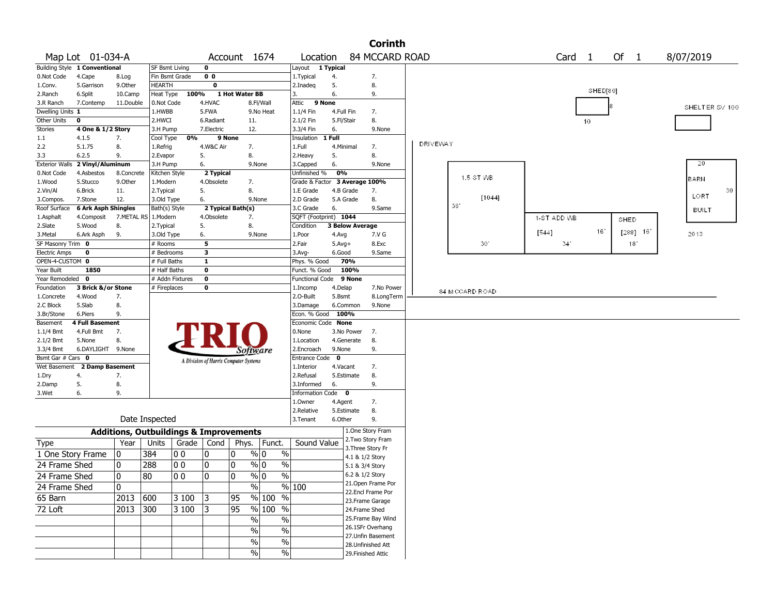|                       |                               |              |                                                   |                 |                                       |                   |                         |                        |              | <b>Corinth</b>                        |                 |                 |                   |            |                |
|-----------------------|-------------------------------|--------------|---------------------------------------------------|-----------------|---------------------------------------|-------------------|-------------------------|------------------------|--------------|---------------------------------------|-----------------|-----------------|-------------------|------------|----------------|
|                       | Map Lot 01-034-A              |              |                                                   |                 |                                       | Account 1674      |                         | Location               |              | 84 MCCARD ROAD                        |                 |                 | Card <sub>1</sub> | Of 1       | 8/07/2019      |
|                       | Building Style 1 Conventional |              | SF Bsmt Living                                    |                 | $\mathbf 0$                           |                   |                         | Layout                 | 1 Typical    |                                       |                 |                 |                   |            |                |
| 0.Not Code            | 4.Cape                        | 8.Log        |                                                   | Fin Bsmt Grade  | 0 <sub>0</sub>                        |                   |                         | 1. Typical             | 4.           | 7.                                    |                 |                 |                   |            |                |
| 1.Conv.               | 5.Garrison                    | 9.0ther      | HEARTH                                            |                 | $\bf{0}$                              |                   |                         | 2.Inadeg               | 5.           | 8.                                    |                 |                 |                   |            |                |
| 2.Ranch               | 6.Split                       | 10.Camp      | Heat Type                                         | 100%            |                                       | 1 Hot Water BB    |                         | 3.                     | 6.           | 9.                                    |                 |                 |                   | SHED[80]   |                |
| 3.R Ranch             | 7.Contemp                     | 11.Double    | 0.Not Code                                        |                 | 4.HVAC                                |                   | 8.Fl/Wall               | Attic                  | 9 None       |                                       |                 |                 |                   |            | SHELTER SV 100 |
| Dwelling Units 1      |                               |              | 1.HWBB                                            |                 | 5.FWA                                 |                   | 9.No Heat               | 1.1/4 Fin              | 4.Full Fin   | 7.                                    |                 |                 |                   |            |                |
| Other Units           | $\mathbf 0$                   |              | 2.HWCI                                            |                 | 6.Radiant                             | 11.               |                         | 2.1/2 Fin              | 5.Fl/Stair   | 8.                                    |                 |                 | 10                |            |                |
| <b>Stories</b>        | 4 One & 1/2 Story             |              | 3.H Pump                                          |                 | 7.Electric                            | 12.               |                         | 3.3/4 Fin              | 6.           | 9.None                                |                 |                 |                   |            |                |
| 1.1                   | 4.1.5                         | 7.           | Cool Type                                         | 0%              | 9 None                                |                   |                         | Insulation             | 1 Full       |                                       |                 |                 |                   |            |                |
| 2.2                   | 5.1.75                        | 8.           | 1.Refrig                                          |                 | 4.W&C Air                             | 7.                |                         | 1.Full                 | 4.Minimal    | 7.                                    | <b>DRIVEWAY</b> |                 |                   |            |                |
| 3.3                   | 6.2.5                         | 9.           | 2.Evapor                                          |                 | 5.                                    | 8.                |                         | 2.Heavy                | 5.           | 8.                                    |                 |                 |                   |            |                |
| <b>Exterior Walls</b> | 2 Vinyl/Aluminum              |              | 3.H Pump                                          |                 | 6.                                    |                   | 9.None                  | 3.Capped               | 6.           | 9.None                                |                 |                 |                   |            | 20             |
| 0.Not Code            | 4.Asbestos                    | 8.Concrete   | Kitchen Style                                     |                 | 2 Typical                             |                   |                         | Unfinished %           | 0%           |                                       |                 | 1.5 ST WB       |                   |            |                |
| 1.Wood                | 5.Stucco                      | 9.0ther      | 1.Modern                                          |                 | 4.Obsolete                            | 7.                |                         |                        |              | Grade & Factor 3 Average 100%         |                 |                 |                   |            | <b>BARN</b>    |
| 2.Vin/Al              | 6.Brick                       | 11.          | 2.Typical                                         |                 | 5.                                    | 8.                |                         | 1.E Grade              | 4.B Grade    | 7.                                    |                 |                 |                   |            | 30<br>LORT     |
| 3.Compos.             | 7.Stone                       | 12.          | 3.Old Type                                        |                 | 6.                                    |                   | 9.None                  | 2.D Grade              | 5.A Grade    | 8.                                    |                 | [1044]<br>36'   |                   |            |                |
| Roof Surface          | <b>6 Ark Asph Shingles</b>    |              | Bath(s) Style                                     |                 |                                       | 2 Typical Bath(s) |                         | 3.C Grade              | 6.           | 9.Same                                |                 |                 |                   |            | <b>BUILT</b>   |
| 1.Asphalt             | 4.Composit                    |              | 7.METAL RS 1.Modern                               |                 | 4.Obsolete                            | 7.                |                         | SQFT (Footprint) 1044  |              |                                       |                 |                 | 1-ST ADD WB       | SHED       |                |
| 2.Slate               | 5.Wood                        | 8.           | 2.Typical                                         |                 | 5.                                    | 8.                |                         | Condition              |              | <b>3 Below Average</b>                |                 |                 | 161               |            |                |
| 3.Metal               | 6.Ark Asph                    | 9.           | 3.Old Type                                        |                 | 6.                                    |                   | 9.None                  | 1.Poor                 | 4.Avg        | 7.V G                                 |                 |                 | [544]             | $[288]$ 16 | 2013           |
| SF Masonry Trim 0     |                               |              | # Rooms                                           |                 | 5                                     |                   |                         | 2.Fair                 | $5.$ Avg $+$ | 8.Exc                                 |                 | 30'             | 34 <sup>°</sup>   | 18'        |                |
| <b>Electric Amps</b>  | 0                             |              | # Bedrooms                                        |                 | 3                                     |                   |                         | 3.Avg-                 | 6.Good       | 9.Same                                |                 |                 |                   |            |                |
| OPEN-4-CUSTOM 0       |                               |              | # Full Baths                                      |                 | $\mathbf{1}$                          |                   |                         | Phys. % Good           | 70%          |                                       |                 |                 |                   |            |                |
| Year Built            | 1850                          |              | # Half Baths                                      |                 | $\mathbf 0$                           |                   |                         | Funct. % Good          | 100%         |                                       |                 |                 |                   |            |                |
| Year Remodeled        | $\mathbf 0$                   |              |                                                   | # Addn Fixtures | $\mathbf 0$                           |                   |                         | <b>Functional Code</b> | 9 None       |                                       |                 |                 |                   |            |                |
| Foundation            | 3 Brick &/or Stone            |              | # Fireplaces                                      |                 | 0                                     |                   |                         | 1.Incomp               | 4.Delap      | 7.No Power                            |                 | 84 M CCARD ROAD |                   |            |                |
| 1.Concrete            | 4.Wood                        | 7.           |                                                   |                 |                                       |                   |                         | 2.0-Built              | 5.Bsmt       | 8.LongTerm                            |                 |                 |                   |            |                |
| 2.C Block             | 5.Slab                        | 8.           |                                                   |                 |                                       |                   |                         | 3.Damage               | 6.Common     | 9.None                                |                 |                 |                   |            |                |
| 3.Br/Stone            | 6.Piers                       | 9.           |                                                   |                 |                                       |                   |                         | Econ. % Good           | 100%         |                                       |                 |                 |                   |            |                |
| Basement              | 4 Full Basement               |              |                                                   |                 |                                       |                   |                         | Economic Code None     |              |                                       |                 |                 |                   |            |                |
| $1.1/4$ Bmt           | 4.Full Bmt                    | 7.           |                                                   |                 |                                       |                   |                         | 0.None                 | 3.No Power   | 7.                                    |                 |                 |                   |            |                |
| 2.1/2 Bmt             | 5.None                        | 8.           |                                                   |                 |                                       |                   |                         | 1.Location             | 4.Generate   | 8.                                    |                 |                 |                   |            |                |
| 3.3/4 Bmt             | 6.DAYLIGHT                    | 9.None       |                                                   |                 |                                       | Software          |                         | 2.Encroach             | 9.None       | 9.                                    |                 |                 |                   |            |                |
| Bsmt Gar # Cars 0     |                               |              |                                                   |                 | A Division of Harris Computer Systems |                   |                         | Entrance Code 0        |              |                                       |                 |                 |                   |            |                |
| Wet Basement          | 2 Damp Basement               |              |                                                   |                 |                                       |                   |                         | 1.Interior             | 4.Vacant     | 7.                                    |                 |                 |                   |            |                |
| 1.Dry                 | 4.                            | 7.           |                                                   |                 |                                       |                   |                         | 2.Refusal              | 5.Estimate   | 8.                                    |                 |                 |                   |            |                |
| 2.Damp                | 5.                            | 8.           |                                                   |                 |                                       |                   |                         | 3.Informed             | 6.           | 9.                                    |                 |                 |                   |            |                |
| 3.Wet                 | 6.                            | 9.           |                                                   |                 |                                       |                   |                         | Information Code 0     |              |                                       |                 |                 |                   |            |                |
|                       |                               |              |                                                   |                 |                                       |                   |                         | 1.Owner                | 4.Agent      | 7.                                    |                 |                 |                   |            |                |
|                       |                               |              | Date Inspected                                    |                 |                                       |                   |                         | 2.Relative             | 5.Estimate   | 8.                                    |                 |                 |                   |            |                |
|                       |                               |              |                                                   |                 |                                       |                   |                         | 3.Tenant               | 6.Other      | 9.                                    |                 |                 |                   |            |                |
|                       |                               |              | <b>Additions, Outbuildings &amp; Improvements</b> |                 |                                       |                   |                         |                        |              | 1.One Story Fram<br>2. Two Story Fram |                 |                 |                   |            |                |
| Type                  |                               | Year         | Units                                             | Grade   Cond    |                                       | Phys.             | Funct.                  | Sound Value            |              | 3. Three Story Fr                     |                 |                 |                   |            |                |
|                       | 1 One Story Frame             | 0            | 384                                               | O O             | 10                                    | 0                 | $\%$<br>$\frac{9}{0}$ 0 |                        |              | 4.1 & 1/2 Story                       |                 |                 |                   |            |                |
| 24 Frame Shed         |                               | 0            | 288                                               | 00              | 10                                    | 0                 | $\frac{9}{0}$ 0<br>$\%$ |                        |              | 5.1 & 3/4 Story                       |                 |                 |                   |            |                |
|                       |                               | $\mathbf{0}$ |                                                   |                 | ١o                                    | 10                | $\frac{9}{0}$<br>$\%$   |                        |              | 6.2 & 1/2 Story                       |                 |                 |                   |            |                |
| 24 Frame Shed         |                               |              | 80                                                | 00              |                                       |                   |                         |                        |              | 21.Open Frame Por                     |                 |                 |                   |            |                |
| 24 Frame Shed         |                               | 0            |                                                   |                 |                                       |                   | $\%$                    | % 100                  |              | 22.Encl Frame Por                     |                 |                 |                   |            |                |
| 65 Barn               |                               | 2013   600   |                                                   | 3 100           | 3                                     | 95                | % 100 %                 |                        |              | 23. Frame Garage                      |                 |                 |                   |            |                |
| 72 Loft               |                               | 2013 300     |                                                   | 3 100           | 13                                    | 95                | % 100 %                 |                        |              | 24.Frame Shed                         |                 |                 |                   |            |                |
|                       |                               |              |                                                   |                 |                                       |                   | %                       |                        |              | 25. Frame Bay Wind                    |                 |                 |                   |            |                |
|                       |                               |              |                                                   |                 |                                       |                   | $\%$                    |                        |              | 26.1SFr Overhang                      |                 |                 |                   |            |                |
|                       |                               |              |                                                   |                 |                                       |                   | $\sqrt{6}$<br>$\%$      |                        |              | 27.Unfin Basement                     |                 |                 |                   |            |                |
|                       |                               |              |                                                   |                 |                                       |                   | $\%$<br>$\%$            |                        |              | 28. Unfinished Att                    |                 |                 |                   |            |                |
|                       |                               |              |                                                   |                 |                                       |                   | %<br>$\%$               |                        |              | 29. Finished Attic                    |                 |                 |                   |            |                |
|                       |                               |              |                                                   |                 |                                       |                   |                         |                        |              |                                       |                 |                 |                   |            |                |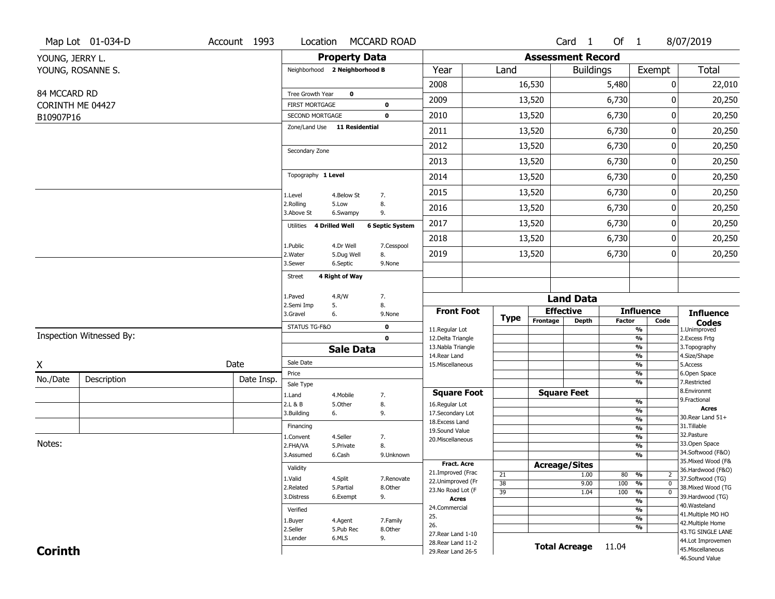|                  | Map Lot 01-034-D         | Account 1993 | Location                                        |                         | <b>MCCARD ROAD</b>     |                                          |             |                          | Card <sub>1</sub>    | Of $1$        |                                            | 8/07/2019                              |
|------------------|--------------------------|--------------|-------------------------------------------------|-------------------------|------------------------|------------------------------------------|-------------|--------------------------|----------------------|---------------|--------------------------------------------|----------------------------------------|
| YOUNG, JERRY L.  |                          |              |                                                 | <b>Property Data</b>    |                        |                                          |             | <b>Assessment Record</b> |                      |               |                                            |                                        |
|                  | YOUNG, ROSANNE S.        |              | Neighborhood 2 Neighborhood B                   |                         |                        | Year                                     | Land        |                          | <b>Buildings</b>     |               | Exempt                                     | <b>Total</b>                           |
|                  |                          |              |                                                 |                         |                        | 2008                                     |             | 16,530                   |                      | 5,480         | 0                                          | 22,010                                 |
| 84 MCCARD RD     |                          |              | Tree Growth Year                                | $\mathbf 0$             |                        | 2009                                     |             | 13,520                   |                      | 6,730         | 0                                          | 20,250                                 |
| CORINTH ME 04427 |                          |              | <b>FIRST MORTGAGE</b>                           |                         | $\mathbf 0$            | 2010                                     |             |                          |                      | 6,730         | 0                                          |                                        |
| B10907P16        |                          |              | SECOND MORTGAGE<br>Zone/Land Use 11 Residential |                         | $\mathbf 0$            |                                          |             | 13,520                   |                      |               |                                            | 20,250                                 |
|                  |                          |              |                                                 |                         |                        | 2011                                     |             | 13,520                   |                      | 6,730         | 0                                          | 20,250                                 |
|                  |                          |              | Secondary Zone                                  |                         |                        | 2012                                     |             | 13,520                   |                      | 6,730         | 0                                          | 20,250                                 |
|                  |                          |              |                                                 |                         |                        | 2013                                     |             | 13,520                   |                      | 6,730         | 0                                          | 20,250                                 |
|                  |                          |              | Topography 1 Level                              |                         |                        | 2014                                     |             | 13,520                   |                      | 6,730         | 0                                          | 20,250                                 |
|                  |                          |              | 1.Level                                         | 4.Below St              | 7.                     | 2015                                     |             | 13,520                   |                      | 6,730         | 0                                          | 20,250                                 |
|                  |                          |              | 2.Rolling<br>3.Above St                         | 5.Low<br>6.Swampy       | 8.<br>9.               | 2016                                     |             | 13,520                   |                      | 6,730         | 0                                          | 20,250                                 |
|                  |                          |              | Utilities                                       | <b>4 Drilled Well</b>   | <b>6 Septic System</b> | 2017                                     |             | 13,520                   |                      | 6,730         | 0                                          | 20,250                                 |
|                  |                          |              |                                                 |                         |                        | 2018                                     |             | 13,520                   |                      | 6,730         | 0                                          | 20,250                                 |
|                  |                          |              | 1.Public<br>2. Water                            | 4.Dr Well<br>5.Dug Well | 7.Cesspool<br>8.       | 2019                                     |             | 13,520                   |                      | 6,730         | 0                                          | 20,250                                 |
|                  |                          |              | 3.Sewer                                         | 6.Septic                | 9.None                 |                                          |             |                          |                      |               |                                            |                                        |
|                  |                          |              | <b>Street</b>                                   | 4 Right of Way          |                        |                                          |             |                          |                      |               |                                            |                                        |
|                  |                          |              | 1.Paved                                         | 4.R/W                   | 7.                     |                                          |             |                          | <b>Land Data</b>     |               |                                            |                                        |
|                  |                          |              | 2.Semi Imp<br>3.Gravel                          | 5.<br>6.                | 8.<br>9.None           | <b>Front Foot</b>                        |             |                          | <b>Effective</b>     |               | <b>Influence</b>                           | <b>Influence</b>                       |
|                  |                          |              | STATUS TG-F&O                                   |                         | $\mathbf 0$            |                                          | <b>Type</b> | Frontage                 | <b>Depth</b>         | <b>Factor</b> | Code                                       | <b>Codes</b>                           |
|                  | Inspection Witnessed By: |              |                                                 |                         | $\mathbf 0$            | 11.Regular Lot<br>12.Delta Triangle      |             |                          |                      |               | %<br>$\frac{9}{6}$                         | 1.Unimproved<br>2.Excess Frtg          |
|                  |                          |              |                                                 | <b>Sale Data</b>        |                        | 13. Nabla Triangle                       |             |                          |                      |               | %                                          | 3. Topography                          |
| Χ                |                          | Date         | Sale Date                                       |                         |                        | 14. Rear Land<br>15. Miscellaneous       |             |                          |                      |               | %<br>%                                     | 4.Size/Shape<br>5.Access               |
| No./Date         | Description              | Date Insp.   | Price                                           |                         |                        |                                          |             |                          |                      |               | %                                          | 6.Open Space                           |
|                  |                          |              | Sale Type                                       |                         |                        | <b>Square Foot</b>                       |             |                          | <b>Square Feet</b>   |               | %                                          | 7.Restricted<br>8.Environmt            |
|                  |                          |              | 1.Land<br>2.L & B                               | 4. Mobile<br>5.Other    | 7.<br>8.               | 16.Regular Lot                           |             |                          |                      |               | $\frac{9}{6}$                              | 9. Fractional                          |
|                  |                          |              | 3.Building                                      | 6.                      | 9.                     | 17.Secondary Lot                         |             |                          |                      |               | %                                          | <b>Acres</b>                           |
|                  |                          |              | Financing                                       |                         |                        | 18.Excess Land                           |             |                          |                      |               | $\frac{9}{6}$<br>$\frac{9}{6}$             | 30.Rear Land 51+<br>31.Tillable        |
|                  |                          |              | 1.Convent                                       | 4.Seller                | 7.                     | 19.Sound Value                           |             |                          |                      |               | $\frac{9}{6}$                              | 32. Pasture                            |
| Notes:           |                          |              | 2.FHA/VA                                        | 5.Private               | 8.                     | 20.Miscellaneous                         |             |                          |                      |               | $\frac{9}{6}$                              | 33.Open Space                          |
|                  |                          |              | 3.Assumed                                       | 6.Cash                  | 9.Unknown              |                                          |             |                          |                      |               | %                                          | 34.Softwood (F&O)                      |
|                  |                          |              | Validity                                        |                         |                        | <b>Fract. Acre</b>                       |             |                          | <b>Acreage/Sites</b> |               |                                            | 35. Mixed Wood (F&                     |
|                  |                          |              | 1.Valid                                         | 4.Split                 | 7.Renovate             | 21.Improved (Frac                        | 21          |                          | 1.00                 | 80            | %<br>$\overline{2}$                        | 36.Hardwood (F&O)<br>37.Softwood (TG)  |
|                  |                          |              | 2.Related                                       | 5.Partial               | 8.Other                | 22.Unimproved (Fr<br>23. No Road Lot (F  | 38          |                          | 9.00                 | 100           | $\overline{0}$<br>$\frac{9}{6}$            | 38. Mixed Wood (TG                     |
|                  |                          |              | 3.Distress                                      | 6.Exempt                | 9.                     | <b>Acres</b>                             | 39          |                          | 1.04                 | 100           | $\overline{\mathfrak{o}}$<br>$\frac{9}{6}$ | 39.Hardwood (TG)                       |
|                  |                          |              | Verified                                        |                         |                        | 24.Commercial                            |             |                          |                      |               | $\frac{9}{6}$<br>%                         | 40. Wasteland                          |
|                  |                          |              |                                                 |                         |                        | 25.                                      |             |                          |                      |               | $\frac{9}{6}$                              | 41. Multiple MO HO                     |
|                  |                          |              | 1.Buyer<br>2.Seller                             | 4.Agent<br>5.Pub Rec    | 7.Family<br>8.Other    | 26.                                      |             |                          |                      |               | %                                          | 42. Multiple Home                      |
|                  |                          |              |                                                 |                         |                        |                                          |             |                          |                      |               |                                            | 43.TG SINGLE LANE                      |
|                  |                          |              | 3.Lender                                        | 6.MLS                   |                        | 27. Rear Land 1-10                       |             |                          |                      |               |                                            |                                        |
| <b>Corinth</b>   |                          |              |                                                 |                         | 9.                     | 28. Rear Land 11-2<br>29. Rear Land 26-5 |             |                          | <b>Total Acreage</b> | 11.04         |                                            | 44.Lot Improvemen<br>45. Miscellaneous |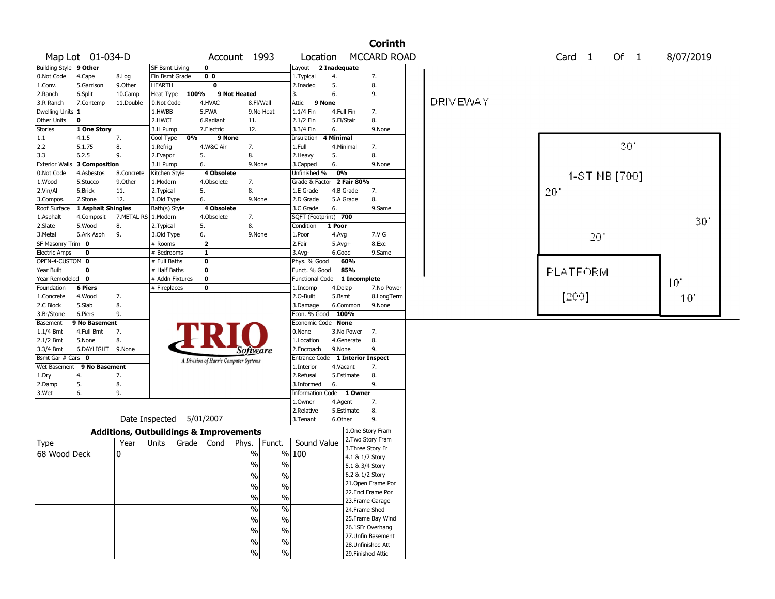|                             |                      |                                                   |                             |       |                         |                                       |                          |                          |                        |                 | <b>Corinth</b>                          |                 |                   |               |                 |  |
|-----------------------------|----------------------|---------------------------------------------------|-----------------------------|-------|-------------------------|---------------------------------------|--------------------------|--------------------------|------------------------|-----------------|-----------------------------------------|-----------------|-------------------|---------------|-----------------|--|
|                             | Map Lot 01-034-D     |                                                   |                             |       |                         | Account 1993                          |                          | Location                 |                        |                 | <b>MCCARD ROAD</b>                      |                 | Card <sub>1</sub> | Of 1          | 8/07/2019       |  |
| Building Style 9 Other      |                      |                                                   | SF Bsmt Living              |       | $\overline{\mathbf{0}}$ |                                       |                          | Layout                   | 2 Inadequate           |                 |                                         |                 |                   |               |                 |  |
| 0.Not Code                  | 4.Cape               | 8.Log                                             | Fin Bsmt Grade              |       | 0 <sub>0</sub>          |                                       |                          | 1. Typical               | 4.                     |                 | 7.                                      |                 |                   |               |                 |  |
| 1.Conv.                     | 5.Garrison           | 9.0ther                                           | <b>HEARTH</b>               |       | $\overline{\mathbf{0}}$ |                                       |                          | 2.Inadeq                 | 5.                     |                 | 8.                                      |                 |                   |               |                 |  |
| 2.Ranch                     | 6.Split              | 10.Camp                                           | Heat Type                   | 100%  |                         | 9 Not Heated                          |                          | 3.                       | 6.                     |                 | 9.                                      |                 |                   |               |                 |  |
| 3.R Ranch                   | 7.Contemp            | 11.Double                                         | 0.Not Code                  |       | 4.HVAC                  |                                       | 8.Fl/Wall                | 9 None<br>Attic          |                        |                 |                                         | <b>DRIVEWAY</b> |                   |               |                 |  |
| Dwelling Units 1            |                      |                                                   | 1.HWBB                      |       | 5.FWA                   |                                       | 9.No Heat                | 1.1/4 Fin                | 4.Full Fin             |                 | 7.                                      |                 |                   |               |                 |  |
| Other Units                 | $\mathbf 0$          |                                                   | 2.HWCI                      |       | 6.Radiant               | 11.                                   |                          | 2.1/2 Fin                | 5.Fl/Stair             |                 | 8.                                      |                 |                   |               |                 |  |
| Stories                     | 1 One Story          |                                                   | 3.H Pump                    |       | 7.Electric              | 12.                                   |                          | 3.3/4 Fin                | 6.                     |                 | 9.None                                  |                 |                   |               |                 |  |
| 1.1                         | 4.1.5                | 7.                                                | Cool Type                   | 0%    | 9 None                  |                                       |                          | Insulation               | <b>4 Minimal</b>       |                 |                                         |                 |                   | 30            |                 |  |
| 2.2                         | 5.1.75               | 8.                                                | 1.Refrig                    |       | 4.W&C Air               | 7.                                    |                          | 1.Full                   | 4.Minimal              |                 | 7.                                      |                 |                   |               |                 |  |
| 3.3                         | 6.2.5                | 9.                                                | 2.Evapor                    | 5.    |                         | 8.                                    |                          | 2.Heavy                  | 5.                     |                 | 8.                                      |                 |                   |               |                 |  |
| <b>Exterior Walls</b>       | <b>3 Composition</b> |                                                   | 3.H Pump                    | 6.    | 4 Obsolete              | 9.None                                |                          | 3.Capped                 | 6.<br>0%               |                 | 9.None                                  |                 |                   |               |                 |  |
| 0.Not Code                  | 4.Asbestos           | 8.Concrete                                        | Kitchen Style               |       | 4.Obsolete              |                                       |                          | Unfinished %             |                        |                 |                                         |                 |                   | 1-ST NB [700] |                 |  |
| 1.Wood                      | 5.Stucco<br>6.Brick  | 9.0ther                                           | 1.Modern                    |       |                         | 7.<br>8.                              |                          | Grade & Factor           |                        | 2 Fair 80%      |                                         |                 |                   |               |                 |  |
| 2.Vin/Al                    | 7.Stone              | 11.<br>12.                                        | 2. Typical                  | 6.    | 5.                      | 9.None                                |                          | 1.E Grade                | 4.B Grade<br>5.A Grade |                 | 7.<br>8.                                |                 | 20                |               |                 |  |
| 3.Compos.<br>Roof Surface   | 1 Asphalt Shingles   |                                                   | 3.Old Type<br>Bath(s) Style |       | 4 Obsolete              |                                       |                          | 2.D Grade<br>3.C Grade   | 6.                     |                 | 9.Same                                  |                 |                   |               |                 |  |
| 1.Asphalt                   | 4.Composit           | 7.METAL RS                                        | 1.Modern                    |       | 4.Obsolete              | 7.                                    |                          | SQFT (Footprint) 700     |                        |                 |                                         |                 |                   |               |                 |  |
| 2.Slate                     | 5.Wood               | 8.                                                | 2. Typical                  | 5.    |                         | 8.                                    |                          | Condition                | 1 Poor                 |                 |                                         |                 |                   |               | 30 <sup>o</sup> |  |
| 3.Metal                     | 6.Ark Asph           | 9.                                                | 3.Old Type                  | 6.    |                         | 9.None                                |                          | 1.Poor                   | 4.Avg                  |                 | 7.V G                                   |                 |                   |               |                 |  |
| SF Masonry Trim 0           |                      |                                                   | $#$ Rooms                   |       | $\overline{2}$          |                                       |                          | 2.Fair                   | $5.$ Avg $+$           |                 | 8.Exc                                   |                 | 201               |               |                 |  |
| <b>Electric Amps</b>        | 0                    |                                                   | # Bedrooms                  |       | $\mathbf{1}$            |                                       |                          | $3.$ Avg-                | 6.Good                 |                 | 9.Same                                  |                 |                   |               |                 |  |
| OPEN-4-CUSTOM 0             |                      |                                                   | # Full Baths                |       | $\mathbf 0$             |                                       |                          | Phys. % Good             |                        | 60%             |                                         |                 |                   |               |                 |  |
| Year Built                  | $\mathbf 0$          |                                                   | # Half Baths                |       | $\mathbf 0$             |                                       |                          | Funct. % Good            |                        | 85%             |                                         |                 |                   |               |                 |  |
| Year Remodeled              | 0                    |                                                   | # Addn Fixtures             |       | $\bf{0}$                |                                       |                          | Functional Code          |                        | 1 Incomplete    |                                         |                 | PLATFORM          |               |                 |  |
| Foundation                  | <b>6 Piers</b>       |                                                   | # Fireplaces                |       | 0                       |                                       |                          | 1.Incomp                 | 4.Delap                |                 | 7.No Power                              |                 |                   |               | 10'             |  |
| 1.Concrete                  | 4.Wood               | 7.                                                |                             |       |                         |                                       |                          | 2.O-Built                | 5.Bsmt                 |                 | 8.LongTerm                              |                 | [200]             |               | $10^{\circ}$    |  |
| 2.C Block                   | 5.Slab               | 8.                                                |                             |       |                         |                                       |                          | 3.Damage                 |                        | 6.Common        | 9.None                                  |                 |                   |               |                 |  |
| 3.Br/Stone                  | 6.Piers              | 9.                                                |                             |       |                         |                                       |                          | Econ. % Good             | 100%                   |                 |                                         |                 |                   |               |                 |  |
| Basement                    | 9 No Basement        |                                                   |                             |       |                         |                                       |                          | Economic Code None       |                        |                 |                                         |                 |                   |               |                 |  |
| $1.1/4$ Bmt                 | 4.Full Bmt           | 7.                                                |                             |       |                         |                                       |                          | 0.None                   |                        | 3.No Power      | 7.                                      |                 |                   |               |                 |  |
| $2.1/2$ Bmt                 | 5.None               | 8.                                                |                             |       |                         |                                       |                          | 1.Location               |                        | 4.Generate      | 8.                                      |                 |                   |               |                 |  |
| 3.3/4 Bmt                   | 6.DAYLIGHT 9.None    |                                                   |                             |       |                         | Software                              |                          | 2.Encroach               | 9.None                 |                 | 9.                                      |                 |                   |               |                 |  |
| Bsmt Gar $#$ Cars $\bullet$ |                      |                                                   |                             |       |                         | A Division of Harris Computer Systems |                          | Entrance Code            |                        |                 | 1 Interior Inspect                      |                 |                   |               |                 |  |
| Wet Basement                | 9 No Basement        |                                                   |                             |       |                         |                                       |                          | 1.Interior               | 4.Vacant               |                 | 7.                                      |                 |                   |               |                 |  |
| 1.Dry                       | 4.                   | 7.                                                |                             |       |                         |                                       |                          | 2.Refusal                |                        | 5.Estimate      | 8.                                      |                 |                   |               |                 |  |
| 2.Damp                      | 5.                   | 8.                                                |                             |       |                         |                                       |                          | 3.Informed               | 6.                     |                 | 9.                                      |                 |                   |               |                 |  |
| 3.Wet                       | 6.                   | 9.                                                |                             |       |                         |                                       |                          | Information Code 1 Owner |                        |                 |                                         |                 |                   |               |                 |  |
|                             |                      |                                                   |                             |       |                         |                                       |                          | 1.0wner                  | 4.Agent                |                 | 7.                                      |                 |                   |               |                 |  |
|                             |                      |                                                   |                             |       |                         |                                       |                          | 2.Relative               |                        | 5.Estimate      | 8.                                      |                 |                   |               |                 |  |
|                             |                      |                                                   | Date Inspected              |       | 5/01/2007               |                                       |                          | 3.Tenant                 | 6.Other                |                 | 9.                                      |                 |                   |               |                 |  |
|                             |                      | <b>Additions, Outbuildings &amp; Improvements</b> |                             |       |                         |                                       |                          |                          |                        |                 | 1.One Story Fram                        |                 |                   |               |                 |  |
| <b>Type</b>                 |                      | Year                                              | Units                       | Grade | Cond                    | Phys.                                 | Funct.                   | Sound Value              |                        |                 | 2. Two Story Fram                       |                 |                   |               |                 |  |
| 68 Wood Deck                |                      | 0                                                 |                             |       |                         | %                                     |                          | % 100                    |                        |                 | 3. Three Story Fr                       |                 |                   |               |                 |  |
|                             |                      |                                                   |                             |       |                         |                                       |                          |                          |                        | 4.1 & 1/2 Story |                                         |                 |                   |               |                 |  |
|                             |                      |                                                   |                             |       |                         | %                                     | $\%$                     |                          |                        | 5.1 & 3/4 Story |                                         |                 |                   |               |                 |  |
|                             |                      |                                                   |                             |       |                         | $\frac{0}{0}$                         | $\%$                     |                          |                        | 6.2 & 1/2 Story |                                         |                 |                   |               |                 |  |
|                             |                      |                                                   |                             |       |                         | $\sqrt{20}$                           | $\%$                     |                          |                        |                 | 21. Open Frame Por<br>22.Encl Frame Por |                 |                   |               |                 |  |
|                             |                      |                                                   |                             |       |                         | $\sqrt{6}$                            | $\overline{\frac{0}{6}}$ |                          |                        |                 |                                         |                 |                   |               |                 |  |
|                             |                      |                                                   |                             |       |                         | $\sqrt{6}$                            | $\%$                     |                          |                        |                 | 23. Frame Garage                        |                 |                   |               |                 |  |
|                             |                      |                                                   |                             |       |                         |                                       |                          |                          |                        |                 | 24.Frame Shed                           |                 |                   |               |                 |  |
|                             |                      |                                                   |                             |       |                         | $\sqrt{6}$                            | $\overline{\frac{0}{6}}$ |                          |                        |                 | 25. Frame Bay Wind<br>26.1SFr Overhang  |                 |                   |               |                 |  |
|                             |                      |                                                   |                             |       |                         | $\%$                                  | $\%$                     |                          |                        |                 | 27.Unfin Basement                       |                 |                   |               |                 |  |
|                             |                      |                                                   |                             |       |                         | $\sqrt{6}$                            | $\%$                     |                          |                        |                 | 28. Unfinished Att                      |                 |                   |               |                 |  |
|                             |                      |                                                   |                             |       |                         | $\sqrt{6}$                            | $\sqrt{6}$               |                          |                        |                 | 29. Finished Attic                      |                 |                   |               |                 |  |
|                             |                      |                                                   |                             |       |                         |                                       |                          |                          |                        |                 |                                         |                 |                   |               |                 |  |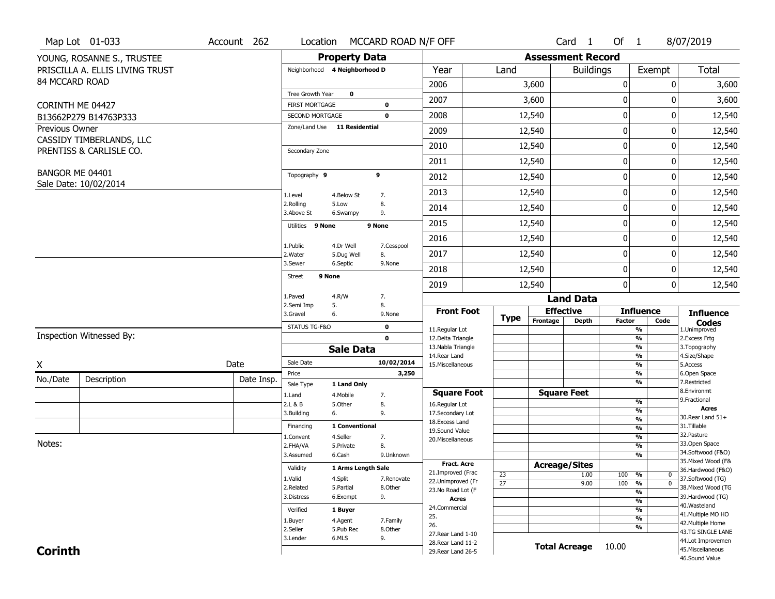|                  | Map Lot 01-033                  | Account 262 | Location                                        |                               | MCCARD ROAD N/F OFF |                                          |                 |                          | Card 1               | Of $1$        |                                | 8/07/2019                               |
|------------------|---------------------------------|-------------|-------------------------------------------------|-------------------------------|---------------------|------------------------------------------|-----------------|--------------------------|----------------------|---------------|--------------------------------|-----------------------------------------|
|                  | YOUNG, ROSANNE S., TRUSTEE      |             |                                                 | <b>Property Data</b>          |                     |                                          |                 | <b>Assessment Record</b> |                      |               |                                |                                         |
|                  | PRISCILLA A. ELLIS LIVING TRUST |             |                                                 | Neighborhood 4 Neighborhood D |                     | Year                                     | Land            |                          | <b>Buildings</b>     |               | Exempt                         | <b>Total</b>                            |
| 84 MCCARD ROAD   |                                 |             |                                                 |                               |                     | 2006                                     |                 | 3,600                    |                      | 0             | 0                              | 3,600                                   |
|                  |                                 |             | Tree Growth Year                                | $\mathbf 0$                   |                     | 2007                                     |                 | 3,600                    |                      | 0             | 0                              | 3,600                                   |
| CORINTH ME 04427 | B13662P279 B14763P333           |             | <b>FIRST MORTGAGE</b><br><b>SECOND MORTGAGE</b> |                               | 0<br>$\mathbf 0$    | 2008                                     |                 | 12,540                   |                      | 0             | 0                              | 12,540                                  |
| Previous Owner   |                                 |             |                                                 | Zone/Land Use 11 Residential  |                     | 2009                                     |                 | 12,540                   |                      | 0             | 0                              | 12,540                                  |
|                  | CASSIDY TIMBERLANDS, LLC        |             |                                                 |                               |                     |                                          |                 |                          |                      |               |                                |                                         |
|                  | PRENTISS & CARLISLE CO.         |             | Secondary Zone                                  |                               |                     | 2010                                     |                 | 12,540                   |                      | 0             | 0                              | 12,540                                  |
|                  |                                 |             |                                                 |                               |                     | 2011                                     |                 | 12,540                   |                      | 0             | 0                              | 12,540                                  |
| BANGOR ME 04401  | Sale Date: 10/02/2014           |             | Topography 9                                    |                               | 9                   | 2012                                     |                 | 12,540                   |                      | 0             | 0                              | 12,540                                  |
|                  |                                 |             | 1.Level                                         | 4.Below St                    | 7.                  | 2013                                     |                 | 12,540                   |                      | 0             | 0                              | 12,540                                  |
|                  |                                 |             | 2.Rolling<br>3.Above St                         | 5.Low<br>6.Swampy             | 8.<br>9.            | 2014                                     |                 | 12,540                   |                      | 0             | 0                              | 12,540                                  |
|                  |                                 |             | Utilities 9 None                                |                               | 9 None              | 2015                                     |                 | 12,540                   |                      | 0             | 0                              | 12,540                                  |
|                  |                                 |             |                                                 |                               |                     | 2016                                     |                 | 12,540                   |                      | 0             | 0                              | 12,540                                  |
|                  |                                 |             | 1.Public<br>2. Water                            | 4.Dr Well<br>5.Dug Well       | 7.Cesspool<br>8.    | 2017                                     |                 | 12,540                   |                      | 0             | 0                              | 12,540                                  |
|                  |                                 |             | 3.Sewer                                         | 6.Septic                      | 9.None              | 2018                                     |                 | 12,540                   |                      | 0             | 0                              | 12,540                                  |
|                  |                                 |             | Street                                          | 9 None                        |                     | 2019                                     |                 | 12,540                   |                      | 0             | 0                              | 12,540                                  |
|                  |                                 |             | 1.Paved                                         | 4.R/W                         | 7.                  |                                          |                 |                          | <b>Land Data</b>     |               |                                |                                         |
|                  |                                 |             | 2.Semi Imp<br>3.Gravel                          | 5.<br>6.                      | 8.<br>9.None        | <b>Front Foot</b>                        |                 |                          | <b>Effective</b>     |               | <b>Influence</b>               | <b>Influence</b>                        |
|                  |                                 |             | STATUS TG-F&O                                   |                               | $\mathbf 0$         | 11.Regular Lot                           | <b>Type</b>     | Frontage                 | <b>Depth</b>         | <b>Factor</b> | Code<br>%                      | <b>Codes</b><br>1.Unimproved            |
|                  | Inspection Witnessed By:        |             |                                                 |                               | $\mathbf 0$         | 12.Delta Triangle                        |                 |                          |                      |               | $\frac{9}{6}$                  | 2. Excess Frtg                          |
|                  |                                 |             |                                                 | <b>Sale Data</b>              |                     | 13. Nabla Triangle<br>14. Rear Land      |                 |                          |                      |               | %<br>%                         | 3. Topography<br>4.Size/Shape           |
| X                |                                 | Date        | Sale Date                                       |                               | 10/02/2014          | 15. Miscellaneous                        |                 |                          |                      |               | $\frac{9}{6}$                  | 5.Access                                |
| No./Date         | Description                     | Date Insp.  | Price                                           |                               | 3,250               |                                          |                 |                          |                      |               | %<br>%                         | 6.Open Space<br>7.Restricted            |
|                  |                                 |             | Sale Type                                       | 1 Land Only                   |                     | <b>Square Foot</b>                       |                 |                          | <b>Square Feet</b>   |               |                                | 8.Environmt                             |
|                  |                                 |             | 1.Land<br>2.L & B                               | 4. Mobile<br>5.Other          | 7.<br>8.            | 16.Regular Lot                           |                 |                          |                      |               | $\frac{9}{6}$                  | 9. Fractional                           |
|                  |                                 |             | 3.Building                                      | 6.                            | 9.                  | 17.Secondary Lot                         |                 |                          |                      |               | $\frac{9}{6}$                  | <b>Acres</b><br>30. Rear Land 51+       |
|                  |                                 |             | Financing                                       | 1 Conventional                |                     | 18. Excess Land                          |                 |                          |                      |               | $\frac{9}{6}$<br>$\frac{9}{6}$ | 31.Tillable                             |
|                  |                                 |             | 1.Convent                                       | 4.Seller                      | 7.                  | 19.Sound Value<br>20.Miscellaneous       |                 |                          |                      |               | $\frac{9}{6}$                  | 32.Pasture                              |
| Notes:           |                                 |             | 2.FHA/VA                                        | 5.Private                     | 8.                  |                                          |                 |                          |                      |               | $\frac{9}{6}$                  | 33.Open Space                           |
|                  |                                 |             | 3.Assumed                                       | 6.Cash                        | 9.Unknown           |                                          |                 |                          |                      |               | $\overline{\frac{9}{6}}$       | 34.Softwood (F&O)                       |
|                  |                                 |             | Validity                                        | 1 Arms Length Sale            |                     | <b>Fract. Acre</b>                       |                 | <b>Acreage/Sites</b>     |                      |               |                                | 35. Mixed Wood (F&<br>36.Hardwood (F&O) |
|                  |                                 |             | 1.Valid                                         | 4.Split                       | 7.Renovate          | 21.Improved (Frac<br>22.Unimproved (Fr   | 23              |                          | 1.00                 | 100           | %<br>0                         | 37.Softwood (TG)                        |
|                  |                                 |             | 2.Related                                       | 5.Partial                     | 8.Other             | 23.No Road Lot (F                        | $\overline{27}$ |                          | 9.00                 | 100           | $\overline{0}$<br>%            | 38. Mixed Wood (TG                      |
|                  |                                 |             | 3.Distress                                      | 6.Exempt                      | 9.                  | <b>Acres</b>                             |                 |                          |                      |               | $\frac{9}{6}$<br>$\frac{9}{6}$ | 39.Hardwood (TG)                        |
|                  |                                 |             | Verified                                        | 1 Buyer                       |                     | 24.Commercial                            |                 |                          |                      |               | $\frac{9}{6}$                  | 40. Wasteland                           |
|                  |                                 |             | 1.Buyer                                         | 4.Agent                       | 7.Family            | 25.                                      |                 |                          |                      |               | $\frac{9}{6}$                  | 41. Multiple MO HO                      |
|                  |                                 |             | 2.Seller                                        | 5.Pub Rec                     | 8.Other             | 26.                                      |                 |                          |                      |               | $\frac{9}{6}$                  | 42. Multiple Home<br>43.TG SINGLE LANE  |
|                  |                                 |             | 3.Lender                                        | 6.MLS                         | 9.                  | 27. Rear Land 1-10                       |                 |                          |                      |               |                                |                                         |
|                  |                                 |             |                                                 |                               |                     |                                          |                 |                          |                      |               |                                |                                         |
| <b>Corinth</b>   |                                 |             |                                                 |                               |                     | 28. Rear Land 11-2<br>29. Rear Land 26-5 |                 |                          | <b>Total Acreage</b> | 10.00         |                                | 44.Lot Improvemen<br>45. Miscellaneous  |